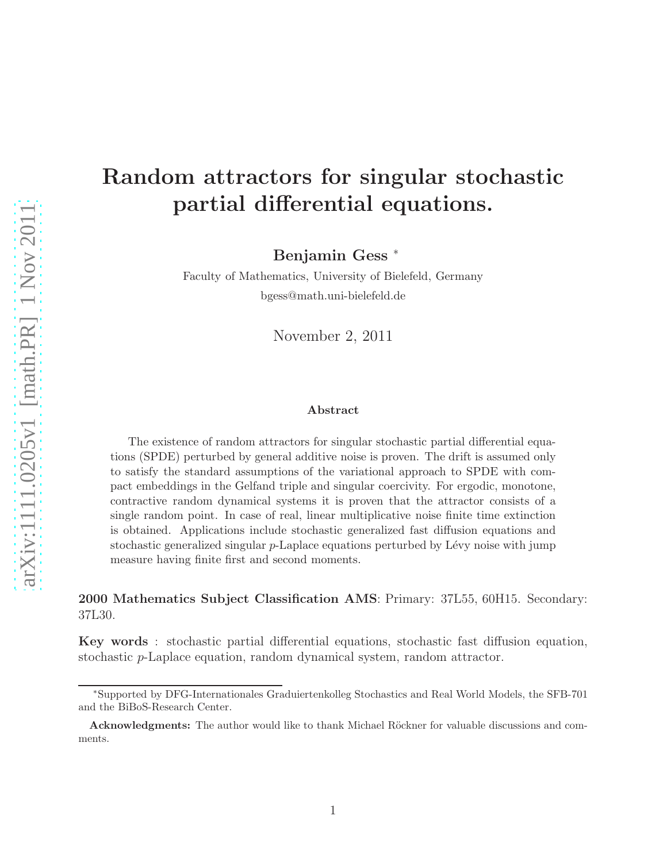# Random attractors for singular stochastic partial differential equations.

Benjamin Gess <sup>∗</sup>

Faculty of Mathematics, University of Bielefeld, Germany bgess@math.uni-bielefeld.de

November 2, 2011

#### Abstract

The existence of random attractors for singular stochastic partial differential equations (SPDE) perturbed by general additive noise is proven. The drift is assumed only to satisfy the standard assumptions of the variational approach to SPDE with compact embeddings in the Gelfand triple and singular coercivity. For ergodic, monotone, contractive random dynamical systems it is proven that the attractor consists of a single random point. In case of real, linear multiplicative noise finite time extinction is obtained. Applications include stochastic generalized fast diffusion equations and stochastic generalized singular  $p$ -Laplace equations perturbed by Lévy noise with jump measure having finite first and second moments.

2000 Mathematics Subject Classification AMS: Primary: 37L55, 60H15. Secondary: 37L30.

Key words : stochastic partial differential equations, stochastic fast diffusion equation, stochastic p-Laplace equation, random dynamical system, random attractor.

<sup>∗</sup>Supported by DFG-Internationales Graduiertenkolleg Stochastics and Real World Models, the SFB-701 and the BiBoS-Research Center.

Acknowledgments: The author would like to thank Michael Röckner for valuable discussions and comments.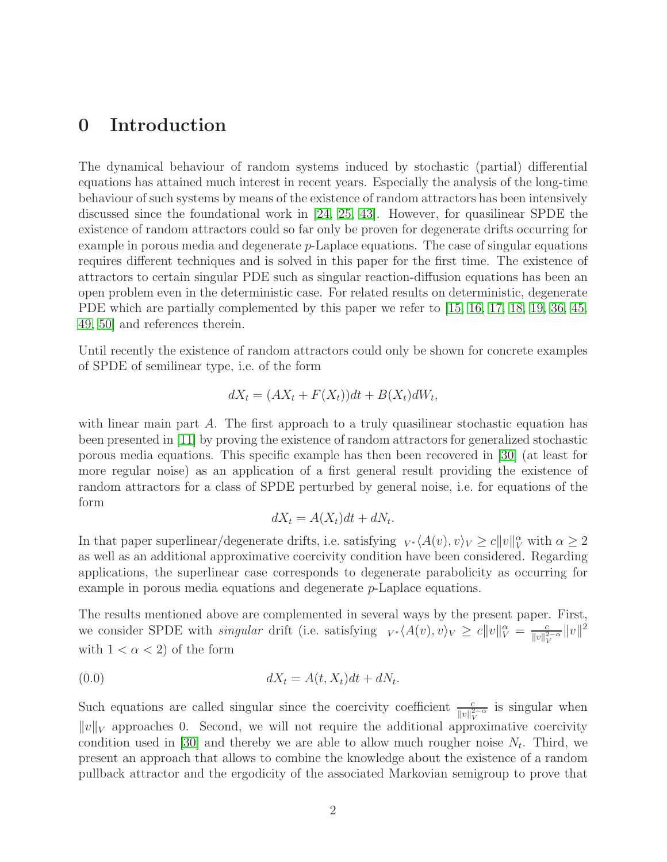# 0 Introduction

The dynamical behaviour of random systems induced by stochastic (partial) differential equations has attained much interest in recent years. Especially the analysis of the long-time behaviour of such systems by means of the existence of random attractors has been intensively discussed since the foundational work in [\[24,](#page-37-0) [25,](#page-37-1) [43\]](#page-38-0). However, for quasilinear SPDE the existence of random attractors could so far only be proven for degenerate drifts occurring for example in porous media and degenerate  $p$ -Laplace equations. The case of singular equations requires different techniques and is solved in this paper for the first time. The existence of attractors to certain singular PDE such as singular reaction-diffusion equations has been an open problem even in the deterministic case. For related results on deterministic, degenerate PDE which are partially complemented by this paper we refer to [\[15,](#page-36-0) [16,](#page-36-1) [17,](#page-36-2) [18,](#page-36-3) [19,](#page-36-4) [36,](#page-38-1) [45,](#page-38-2) [49,](#page-39-0) [50\]](#page-39-1) and references therein.

Until recently the existence of random attractors could only be shown for concrete examples of SPDE of semilinear type, i.e. of the form

$$
dX_t = (AX_t + F(X_t))dt + B(X_t)dW_t,
$$

with linear main part  $A$ . The first approach to a truly quasilinear stochastic equation has been presented in [\[11\]](#page-36-5) by proving the existence of random attractors for generalized stochastic porous media equations. This specific example has then been recovered in [\[30\]](#page-37-2) (at least for more regular noise) as an application of a first general result providing the existence of random attractors for a class of SPDE perturbed by general noise, i.e. for equations of the form

<span id="page-1-0"></span>
$$
dX_t = A(X_t)dt + dN_t.
$$

In that paper superlinear/degenerate drifts, i.e. satisfying  $V^* \langle A(v), v \rangle_V \ge c||v||_V^{\alpha}$  with  $\alpha \ge 2$ as well as an additional approximative coercivity condition have been considered. Regarding applications, the superlinear case corresponds to degenerate parabolicity as occurring for example in porous media equations and degenerate p-Laplace equations.

The results mentioned above are complemented in several ways by the present paper. First, we consider SPDE with *singular* drift (i.e. satisfying  $v \cdot \langle A(v), v \rangle_V \ge c||v||_V^{\alpha} = \frac{c}{||v||_V^{\alpha}}$  $\frac{c}{\|v\|_V^{2-\alpha}}\|v\|^2$ with  $1 < \alpha < 2$  of the form

$$
dX_t = A(t, X_t)dt + dN_t.
$$

Such equations are called singular since the coercivity coefficient  $\frac{c}{\|v\|_V^{2-\alpha}}$  is singular when  $||v||_V$  approaches 0. Second, we will not require the additional approximative coercivity condition used in [\[30\]](#page-37-2) and thereby we are able to allow much rougher noise  $N_t$ . Third, we present an approach that allows to combine the knowledge about the existence of a random pullback attractor and the ergodicity of the associated Markovian semigroup to prove that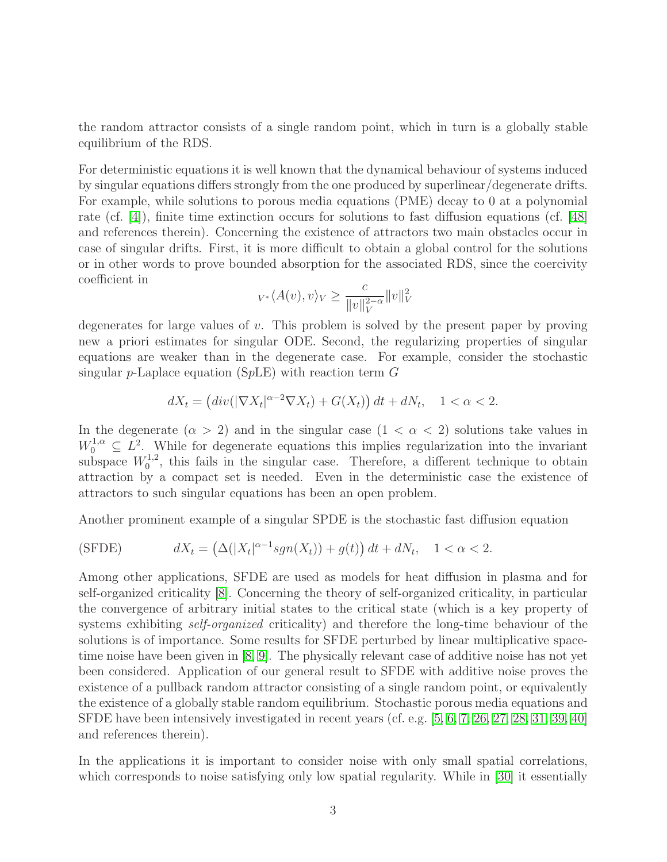the random attractor consists of a single random point, which in turn is a globally stable equilibrium of the RDS.

For deterministic equations it is well known that the dynamical behaviour of systems induced by singular equations differs strongly from the one produced by superlinear/degenerate drifts. For example, while solutions to porous media equations (PME) decay to 0 at a polynomial rate (cf. [\[4\]](#page-35-0)), finite time extinction occurs for solutions to fast diffusion equations (cf. [\[48\]](#page-39-2) and references therein). Concerning the existence of attractors two main obstacles occur in case of singular drifts. First, it is more difficult to obtain a global control for the solutions or in other words to prove bounded absorption for the associated RDS, since the coercivity coefficient in

$$
_{V^*}\langle A(v),v\rangle_V \geq \frac{c}{\|v\|_V^{2-\alpha}}\|v\|_V^2
$$

degenerates for large values of v. This problem is solved by the present paper by proving new a priori estimates for singular ODE. Second, the regularizing properties of singular equations are weaker than in the degenerate case. For example, consider the stochastic singular p-Laplace equation (SpLE) with reaction term  $G$ 

$$
dX_t = (div(|\nabla X_t|^{\alpha-2}\nabla X_t) + G(X_t)) dt + dN_t, \quad 1 < \alpha < 2.
$$

In the degenerate  $(\alpha > 2)$  and in the singular case  $(1 < \alpha < 2)$  solutions take values in  $W_0^{1,\alpha} \subseteq L^2$ . While for degenerate equations this implies regularization into the invariant subspace  $W_0^{1,2}$  $_{0}^{1,2}$ , this fails in the singular case. Therefore, a different technique to obtain attraction by a compact set is needed. Even in the deterministic case the existence of attractors to such singular equations has been an open problem.

Another prominent example of a singular SPDE is the stochastic fast diffusion equation

$$
(SFDE) \t dXt = (\Delta(|Xt|\alpha-1sgn(Xt)) + g(t)) dt + dNt, \t 1 < \alpha < 2.
$$

Among other applications, SFDE are used as models for heat diffusion in plasma and for self-organized criticality [\[8\]](#page-35-1). Concerning the theory of self-organized criticality, in particular the convergence of arbitrary initial states to the critical state (which is a key property of systems exhibiting *self-organized* criticality) and therefore the long-time behaviour of the solutions is of importance. Some results for SFDE perturbed by linear multiplicative spacetime noise have been given in [\[8,](#page-35-1) [9\]](#page-36-6). The physically relevant case of additive noise has not yet been considered. Application of our general result to SFDE with additive noise proves the existence of a pullback random attractor consisting of a single random point, or equivalently the existence of a globally stable random equilibrium. Stochastic porous media equations and SFDE have been intensively investigated in recent years (cf. e.g. [\[5,](#page-35-2) [6,](#page-35-3) [7,](#page-35-4) [26,](#page-37-3) [27,](#page-37-4) [28,](#page-37-5) [31,](#page-37-6) [39,](#page-38-3) [40\]](#page-38-4) and references therein).

In the applications it is important to consider noise with only small spatial correlations, which corresponds to noise satisfying only low spatial regularity. While in [\[30\]](#page-37-2) it essentially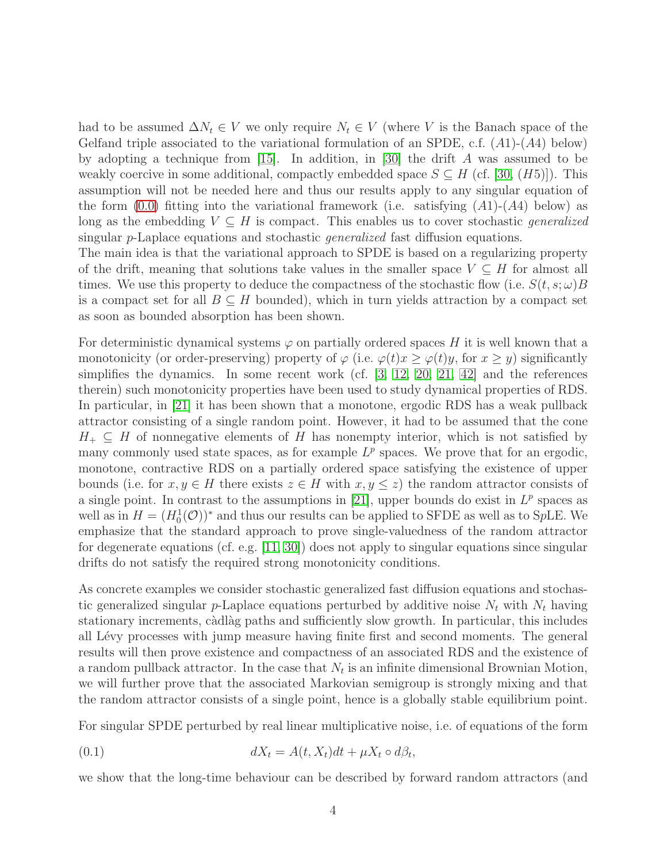had to be assumed  $\Delta N_t \in V$  we only require  $N_t \in V$  (where V is the Banach space of the Gelfand triple associated to the variational formulation of an SPDE, c.f.  $(A1)-(A4)$  below) by adopting a technique from [\[15\]](#page-36-0). In addition, in [\[30\]](#page-37-2) the drift A was assumed to be weakly coercive in some additional, compactly embedded space  $S \subseteq H$  (cf. [\[30,](#page-37-2) (H5)]). This assumption will not be needed here and thus our results apply to any singular equation of the form  $(0.0)$  fitting into the variational framework (i.e. satisfying  $(A1)-(A4)$  below) as long as the embedding  $V \subseteq H$  is compact. This enables us to cover stochastic *generalized* singular p-Laplace equations and stochastic generalized fast diffusion equations.

The main idea is that the variational approach to SPDE is based on a regularizing property of the drift, meaning that solutions take values in the smaller space  $V \subseteq H$  for almost all times. We use this property to deduce the compactness of the stochastic flow (i.e.  $S(t, s; \omega)B$ is a compact set for all  $B \subseteq H$  bounded), which in turn yields attraction by a compact set as soon as bounded absorption has been shown.

For deterministic dynamical systems  $\varphi$  on partially ordered spaces H it is well known that a monotonicity (or order-preserving) property of  $\varphi$  (i.e.  $\varphi(t)x \geq \varphi(t)y$ , for  $x \geq y$ ) significantly simplifies the dynamics. In some recent work (cf. [\[3,](#page-35-5) [12,](#page-36-7) [20,](#page-36-8) [21,](#page-37-7) [42\]](#page-38-5) and the references therein) such monotonicity properties have been used to study dynamical properties of RDS. In particular, in [\[21\]](#page-37-7) it has been shown that a monotone, ergodic RDS has a weak pullback attractor consisting of a single random point. However, it had to be assumed that the cone  $H_+ \subseteq H$  of nonnegative elements of H has nonempty interior, which is not satisfied by many commonly used state spaces, as for example  $L^p$  spaces. We prove that for an ergodic, monotone, contractive RDS on a partially ordered space satisfying the existence of upper bounds (i.e. for  $x, y \in H$  there exists  $z \in H$  with  $x, y \leq z$ ) the random attractor consists of a single point. In contrast to the assumptions in [\[21\]](#page-37-7), upper bounds do exist in  $L^p$  spaces as well as in  $H = (H_0^1(\mathcal{O}))^*$  and thus our results can be applied to SFDE as well as to SpLE. We emphasize that the standard approach to prove single-valuedness of the random attractor for degenerate equations (cf. e.g.  $[11, 30]$  $[11, 30]$ ) does not apply to singular equations since singular drifts do not satisfy the required strong monotonicity conditions.

As concrete examples we consider stochastic generalized fast diffusion equations and stochastic generalized singular p-Laplace equations perturbed by additive noise  $N_t$  with  $N_t$  having stationary increments, càdlàg paths and sufficiently slow growth. In particular, this includes all Lévy processes with jump measure having finite first and second moments. The general results will then prove existence and compactness of an associated RDS and the existence of a random pullback attractor. In the case that  $N_t$  is an infinite dimensional Brownian Motion, we will further prove that the associated Markovian semigroup is strongly mixing and that the random attractor consists of a single point, hence is a globally stable equilibrium point.

For singular SPDE perturbed by real linear multiplicative noise, i.e. of equations of the form

<span id="page-3-0"></span>(0.1) 
$$
dX_t = A(t, X_t)dt + \mu X_t \circ d\beta_t,
$$

we show that the long-time behaviour can be described by forward random attractors (and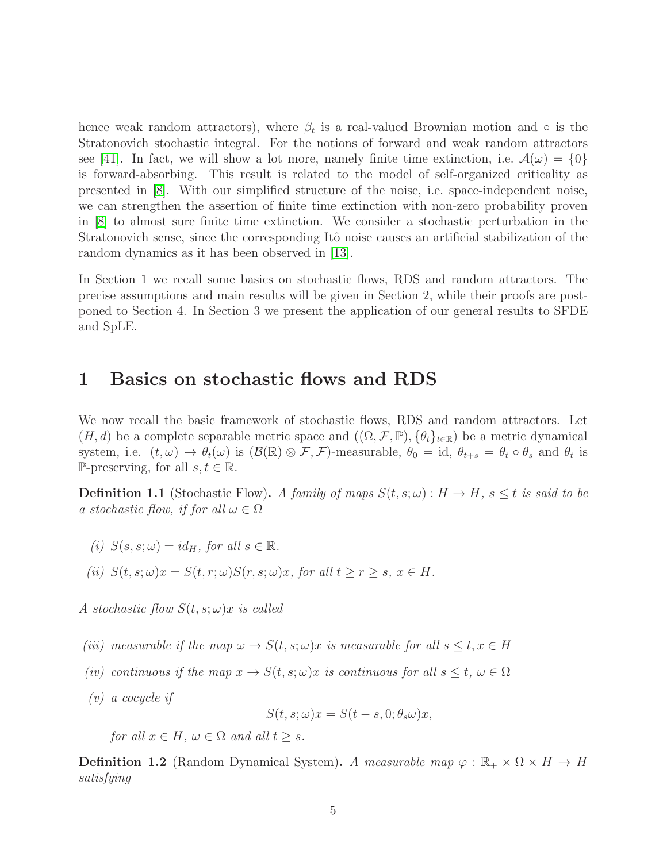hence weak random attractors), where  $\beta_t$  is a real-valued Brownian motion and ∘ is the Stratonovich stochastic integral. For the notions of forward and weak random attractors see [\[41\]](#page-38-6). In fact, we will show a lot more, namely finite time extinction, i.e.  $\mathcal{A}(\omega) = \{0\}$ is forward-absorbing. This result is related to the model of self-organized criticality as presented in [\[8\]](#page-35-1). With our simplified structure of the noise, i.e. space-independent noise, we can strengthen the assertion of finite time extinction with non-zero probability proven in [\[8\]](#page-35-1) to almost sure finite time extinction. We consider a stochastic perturbation in the Stratonovich sense, since the corresponding Itô noise causes an artificial stabilization of the random dynamics as it has been observed in [\[13\]](#page-36-9).

In Section 1 we recall some basics on stochastic flows, RDS and random attractors. The precise assumptions and main results will be given in Section 2, while their proofs are postponed to Section 4. In Section 3 we present the application of our general results to SFDE and SpLE.

# 1 Basics on stochastic flows and RDS

We now recall the basic framework of stochastic flows, RDS and random attractors. Let  $(H, d)$  be a complete separable metric space and  $((\Omega, \mathcal{F}, \mathbb{P}), \{\theta_t\}_{t \in \mathbb{R}})$  be a metric dynamical system, i.e.  $(t, \omega) \mapsto \theta_t(\omega)$  is  $(\mathcal{B}(\mathbb{R}) \otimes \mathcal{F}, \mathcal{F})$ -measurable,  $\theta_0 = id$ ,  $\theta_{t+s} = \theta_t \circ \theta_s$  and  $\theta_t$  is P-preserving, for all  $s, t \in \mathbb{R}$ .

**Definition 1.1** (Stochastic Flow). A family of maps  $S(t, s; \omega): H \to H$ ,  $s \leq t$  is said to be a stochastic flow, if for all  $\omega \in \Omega$ 

- (i)  $S(s, s; \omega) = id_H$ , for all  $s \in \mathbb{R}$ .
- (ii)  $S(t, s; \omega)x = S(t, r; \omega)S(r, s; \omega)x$ , for all  $t \ge r \ge s$ ,  $x \in H$ .

A stochastic flow  $S(t, s; \omega)x$  is called

- (iii) measurable if the map  $\omega \to S(t, s; \omega)x$  is measurable for all  $s \le t, x \in H$
- (iv) continuous if the map  $x \to S(t, s; \omega)x$  is continuous for all  $s \leq t, \omega \in \Omega$
- (v) a cocycle if

$$
S(t, s; \omega)x = S(t - s, 0; \theta_s \omega)x,
$$

for all  $x \in H$ ,  $\omega \in \Omega$  and all  $t \geq s$ .

**Definition 1.2** (Random Dynamical System). A measurable map  $\varphi : \mathbb{R}_+ \times \Omega \times H \to H$ satisfying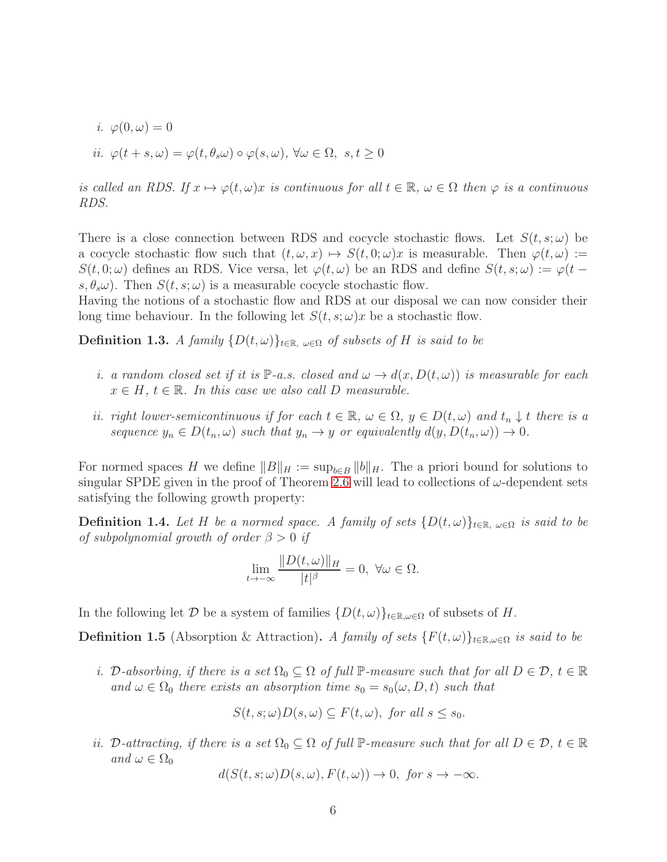*i.* 
$$
\varphi(0,\omega) = 0
$$
  
*ii.*  $\varphi(t+s,\omega) = \varphi(t,\theta_s\omega) \circ \varphi(s,\omega), \forall \omega \in \Omega, s, t \ge 0$ 

is called an RDS. If  $x \mapsto \varphi(t, \omega)x$  is continuous for all  $t \in \mathbb{R}$ ,  $\omega \in \Omega$  then  $\varphi$  is a continuous RDS.

There is a close connection between RDS and cocycle stochastic flows. Let  $S(t, s; \omega)$  be a cocycle stochastic flow such that  $(t, \omega, x) \mapsto S(t, 0; \omega)x$  is measurable. Then  $\varphi(t, \omega) :=$  $S(t, 0; \omega)$  defines an RDS. Vice versa, let  $\varphi(t, \omega)$  be an RDS and define  $S(t, s; \omega) := \varphi(t - \omega)$  $s, \theta_s \omega$ ). Then  $S(t, s; \omega)$  is a measurable cocycle stochastic flow.

Having the notions of a stochastic flow and RDS at our disposal we can now consider their long time behaviour. In the following let  $S(t, s; \omega)x$  be a stochastic flow.

**Definition 1.3.** A family  $\{D(t, \omega)\}_{t \in \mathbb{R}, \omega \in \Omega}$  of subsets of H is said to be

- i. a random closed set if it is  $\mathbb{P}\text{-}a.s.$  closed and  $\omega \to d(x, D(t, \omega))$  is measurable for each  $x \in H$ ,  $t \in \mathbb{R}$ . In this case we also call D measurable.
- ii. right lower-semicontinuous if for each  $t \in \mathbb{R}$ ,  $\omega \in \Omega$ ,  $y \in D(t, \omega)$  and  $t_n \downarrow t$  there is a sequence  $y_n \in D(t_n, \omega)$  such that  $y_n \to y$  or equivalently  $d(y, D(t_n, \omega)) \to 0$ .

For normed spaces H we define  $||B||_H := \sup_{b \in B} ||b||_H$ . The a priori bound for solutions to singular SPDE given in the proof of Theorem [2.6](#page-11-0) will lead to collections of  $\omega$ -dependent sets satisfying the following growth property:

<span id="page-5-1"></span>**Definition 1.4.** Let H be a normed space. A family of sets  $\{D(t, \omega)\}_{t \in \mathbb{R}, \omega \in \Omega}$  is said to be of subpolynomial growth of order  $\beta > 0$  if

$$
\lim_{t \to -\infty} \frac{\|D(t,\omega)\|_H}{|t|^\beta} = 0, \ \forall \omega \in \Omega.
$$

In the following let D be a system of families  $\{D(t, \omega)\}_{t \in \mathbb{R}, \omega \in \Omega}$  of subsets of H.

<span id="page-5-0"></span>**Definition 1.5** (Absorption & Attraction). A family of sets  $\{F(t,\omega)\}_{t\in\mathbb{R},\omega\in\Omega}$  is said to be

i. D-absorbing, if there is a set  $\Omega_0 \subseteq \Omega$  of full  $\mathbb{P}$ -measure such that for all  $D \in \mathcal{D}$ ,  $t \in \mathbb{R}$ and  $\omega \in \Omega_0$  there exists an absorption time  $s_0 = s_0(\omega, D, t)$  such that

$$
S(t, s; \omega)D(s, \omega) \subseteq F(t, \omega), \text{ for all } s \le s_0.
$$

ii. D-attracting, if there is a set  $\Omega_0 \subseteq \Omega$  of full P-measure such that for all  $D \in \mathcal{D}$ ,  $t \in \mathbb{R}$ and  $\omega \in \Omega_0$ 

$$
d(S(t, s; \omega)D(s, \omega), F(t, \omega)) \to 0, \text{ for } s \to -\infty.
$$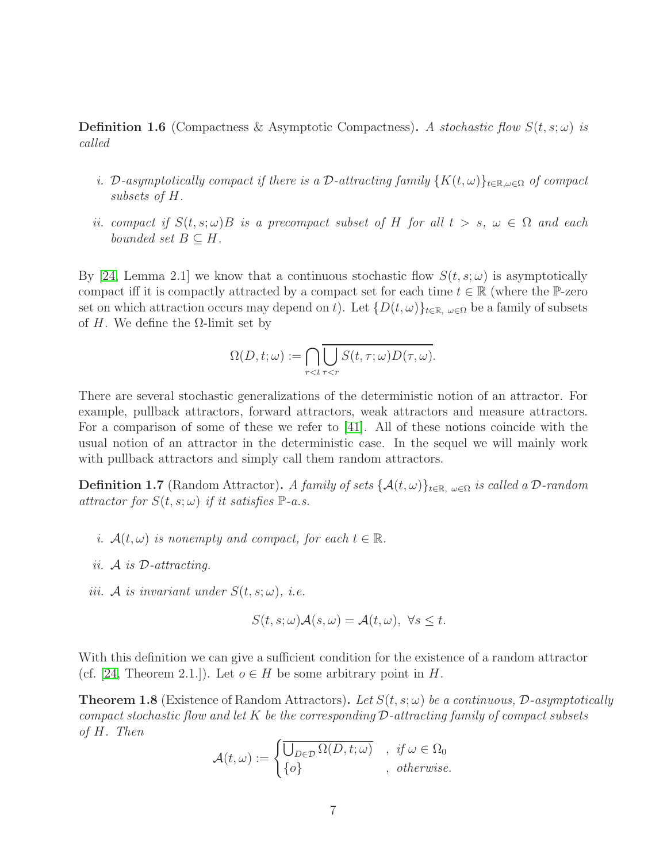**Definition 1.6** (Compactness & Asymptotic Compactness). A stochastic flow  $S(t, s; \omega)$  is called

- i. D-asymptotically compact if there is a D-attracting family  $\{K(t,\omega)\}_{t\in\mathbb{R},\omega\in\Omega}$  of compact subsets of H.
- ii. compact if  $S(t, s; \omega)B$  is a precompact subset of H for all  $t > s$ ,  $\omega \in \Omega$  and each bounded set  $B \subseteq H$ .

By [\[24,](#page-37-0) Lemma 2.1] we know that a continuous stochastic flow  $S(t, s; \omega)$  is asymptotically compact iff it is compactly attracted by a compact set for each time  $t \in \mathbb{R}$  (where the P-zero set on which attraction occurs may depend on t). Let  $\{D(t, \omega)\}_{t \in \mathbb{R}, \omega \in \Omega}$  be a family of subsets of H. We define the  $\Omega$ -limit set by

$$
\Omega(D, t; \omega) := \bigcap_{r < t} \overline{\bigcup_{\tau < r} S(t, \tau; \omega) D(\tau, \omega)}.
$$

There are several stochastic generalizations of the deterministic notion of an attractor. For example, pullback attractors, forward attractors, weak attractors and measure attractors. For a comparison of some of these we refer to [\[41\]](#page-38-6). All of these notions coincide with the usual notion of an attractor in the deterministic case. In the sequel we will mainly work with pullback attractors and simply call them random attractors.

**Definition 1.7** (Random Attractor). A family of sets  $\{\mathcal{A}(t,\omega)\}_{t\in\mathbb{R},\omega\in\Omega}$  is called a D-random attractor for  $S(t, s; \omega)$  if it satisfies  $\mathbb{P}\text{-}a.s.$ 

- i.  $A(t, \omega)$  is nonempty and compact, for each  $t \in \mathbb{R}$ .
- ii. A is D-attracting.
- iii. A is invariant under  $S(t, s; \omega)$ , i.e.

$$
S(t, s; \omega) \mathcal{A}(s, \omega) = \mathcal{A}(t, \omega), \ \forall s \leq t.
$$

With this definition we can give a sufficient condition for the existence of a random attractor (cf. [\[24,](#page-37-0) Theorem 2.1.]). Let  $o \in H$  be some arbitrary point in H.

<span id="page-6-0"></span>**Theorem 1.8** (Existence of Random Attractors). Let  $S(t, s; \omega)$  be a continuous, D-asymptotically compact stochastic flow and let K be the corresponding  $\mathcal{D}\text{-}attracting family of compact subsets$ of H. Then

$$
\mathcal{A}(t,\omega) := \begin{cases} \overline{\bigcup_{D \in \mathcal{D}} \Omega(D, t; \omega)} & , \text{ if } \omega \in \Omega_0 \\ \{o\} & , \text{ otherwise.} \end{cases}
$$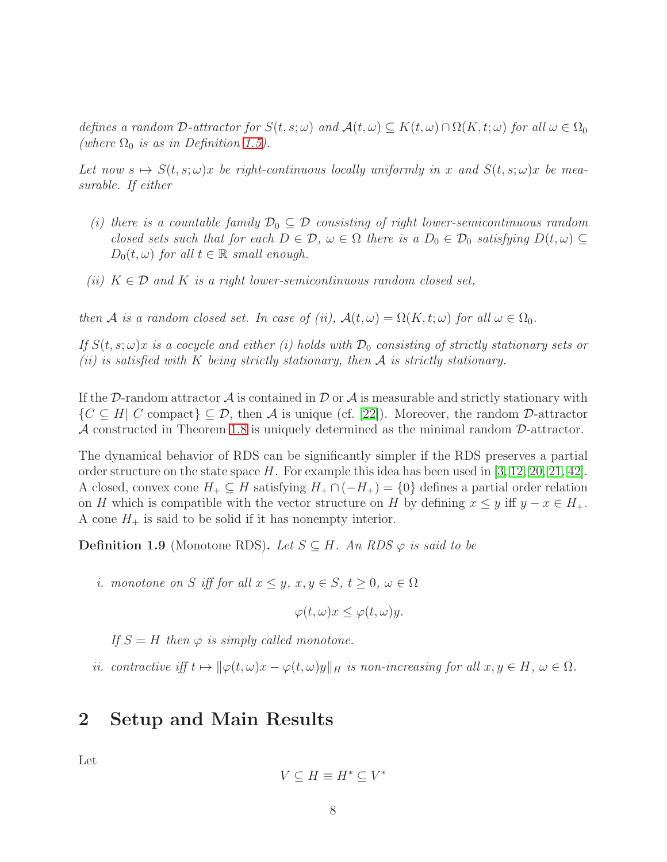defines a random D-attractor for  $S(t, s; \omega)$  and  $\mathcal{A}(t, \omega) \subseteq K(t, \omega) \cap \Omega(K, t; \omega)$  for all  $\omega \in \Omega_0$ (where  $\Omega_0$  is as in Definition [1.5\)](#page-5-0).

Let now  $s \mapsto S(t, s; \omega)x$  be right-continuous locally uniformly in x and  $S(t, s; \omega)x$  be measurable. If either

- (i) there is a countable family  $\mathcal{D}_0 \subseteq \mathcal{D}$  consisting of right lower-semicontinuous random closed sets such that for each  $D \in \mathcal{D}$ ,  $\omega \in \Omega$  there is a  $D_0 \in \mathcal{D}_0$  satisfying  $D(t, \omega) \subseteq$  $D_0(t, \omega)$  for all  $t \in \mathbb{R}$  small enough.
- (ii)  $K \in \mathcal{D}$  and K is a right lower-semicontinuous random closed set,

then A is a random closed set. In case of (ii),  $\mathcal{A}(t,\omega) = \Omega(K,t;\omega)$  for all  $\omega \in \Omega_0$ .

If  $S(t, s; \omega)x$  is a cocycle and either (i) holds with  $\mathcal{D}_0$  consisting of strictly stationary sets or (ii) is satisfied with K being strictly stationary, then A is strictly stationary.

If the D-random attractor  $\mathcal A$  is contained in D or  $\mathcal A$  is measurable and strictly stationary with  $\{C \subseteq H | C \text{ compact}\} \subseteq \mathcal{D}$ , then A is unique (cf. [\[22\]](#page-37-8)). Moreover, the random  $\mathcal{D}\text{-attractor}$ A constructed in Theorem [1.8](#page-6-0) is uniquely determined as the minimal random D-attractor.

The dynamical behavior of RDS can be significantly simpler if the RDS preserves a partial order structure on the state space  $H$ . For example this idea has been used in [\[3,](#page-35-5) [12,](#page-36-7) [20,](#page-36-8) [21,](#page-37-7) [42\]](#page-38-5). A closed, convex cone  $H_+ \subseteq H$  satisfying  $H_+ \cap (-H_+) = \{0\}$  defines a partial order relation on H which is compatible with the vector structure on H by defining  $x \leq y$  iff  $y - x \in H_+$ . A cone  $H_+$  is said to be solid if it has nonempty interior.

**Definition 1.9** (Monotone RDS). Let  $S \subseteq H$ . An RDS  $\varphi$  is said to be

i. monotone on S iff for all  $x \leq y$ ,  $x, y \in S$ ,  $t \geq 0$ ,  $\omega \in \Omega$ 

$$
\varphi(t,\omega)x \leq \varphi(t,\omega)y.
$$

If  $S = H$  then  $\varphi$  is simply called monotone.

<span id="page-7-0"></span>ii. contractive iff  $t \mapsto ||\varphi(t,\omega)x - \varphi(t,\omega)y||_H$  is non-increasing for all  $x, y \in H$ ,  $\omega \in \Omega$ .

# 2 Setup and Main Results

Let

$$
V \subseteq H \equiv H^* \subseteq V^*
$$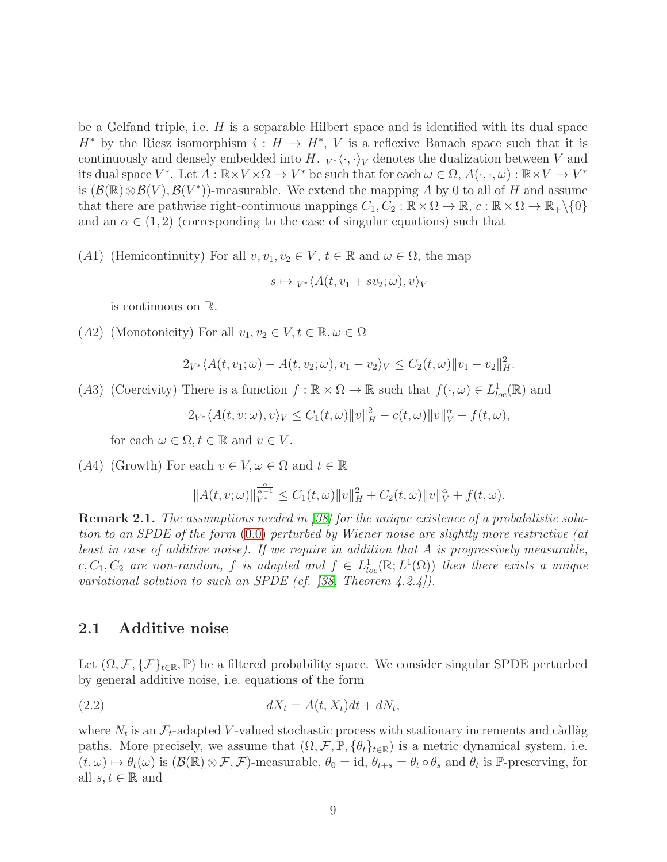be a Gelfand triple, i.e.  $H$  is a separable Hilbert space and is identified with its dual space  $H^*$  by the Riesz isomorphism  $i : H \to H^*$ , V is a reflexive Banach space such that it is continuously and densely embedded into H.  $_{V^*}\langle \cdot, \cdot \rangle_V$  denotes the dualization between V and its dual space  $V^*$ . Let  $A : \mathbb{R} \times V \times \Omega \to V^*$  be such that for each  $\omega \in \Omega$ ,  $A(\cdot, \cdot, \omega) : \mathbb{R} \times V \to V^*$ is  $(\mathcal{B}(\mathbb{R})\otimes\mathcal{B}(V),\mathcal{B}(V^*))$ -measurable. We extend the mapping A by 0 to all of H and assume that there are pathwise right-continuous mappings  $C_1, C_2 : \mathbb{R} \times \Omega \to \mathbb{R}, c : \mathbb{R} \times \Omega \to \mathbb{R}_+ \setminus \{0\}$ and an  $\alpha \in (1, 2)$  (corresponding to the case of singular equations) such that

(A1) (Hemicontinuity) For all  $v, v_1, v_2 \in V$ ,  $t \in \mathbb{R}$  and  $\omega \in \Omega$ , the map

$$
s \mapsto {}_{V^*}\langle A(t, v_1 + sv_2; \omega), v \rangle_V
$$

is continuous on R.

(A2) (Monotonicity) For all  $v_1, v_2 \in V, t \in \mathbb{R}, \omega \in \Omega$ 

$$
2_{V^*} \langle A(t, v_1; \omega) - A(t, v_2; \omega), v_1 - v_2 \rangle_V \le C_2(t, \omega) \|v_1 - v_2\|_H^2.
$$

(A3) (Coercivity) There is a function  $f : \mathbb{R} \times \Omega \to \mathbb{R}$  such that  $f(\cdot, \omega) \in L^1_{loc}(\mathbb{R})$  and

 $2_{V^*}\langle A(t,v;\omega),v\rangle_V \leq C_1(t,\omega) \|v\|_H^2 - c(t,\omega) \|v\|_V^\alpha + f(t,\omega),$ 

for each  $\omega \in \Omega, t \in \mathbb{R}$  and  $v \in V$ .

(A4) (Growth) For each  $v \in V, \omega \in \Omega$  and  $t \in \mathbb{R}$ 

$$
||A(t, v; \omega)||_{V^*}^{\frac{\alpha}{\alpha - 1}} \le C_1(t, \omega)||v||_H^2 + C_2(t, \omega)||v||_V^{\alpha} + f(t, \omega).
$$

Remark 2.1. The assumptions needed in [\[38\]](#page-38-7) for the unique existence of a probabilistic solution to an SPDE of the form [\(0.0\)](#page-1-0) perturbed by Wiener noise are slightly more restrictive (at least in case of additive noise). If we require in addition that A is progressively measurable, c,  $C_1, C_2$  are non-random, f is adapted and  $f \in L^1_{loc}(\mathbb{R}; L^1(\Omega))$  then there exists a unique variational solution to such an SPDE (cf. [\[38,](#page-38-7) Theorem  $(4.2.4)$ ).

#### 2.1 Additive noise

Let  $(\Omega, \mathcal{F}, \{F\}_{t\in\mathbb{R}}, \mathbb{P})$  be a filtered probability space. We consider singular SPDE perturbed by general additive noise, i.e. equations of the form

<span id="page-8-0"></span>
$$
dX_t = A(t, X_t)dt + dN_t,
$$

where  $N_t$  is an  $\mathcal{F}_t$ -adapted V-valued stochastic process with stationary increments and càdlàg paths. More precisely, we assume that  $(\Omega, \mathcal{F}, \mathbb{P}, \{\theta_t\}_{t\in\mathbb{R}})$  is a metric dynamical system, i.e.  $(t, \omega) \mapsto \theta_t(\omega)$  is  $(\mathcal{B}(\mathbb{R}) \otimes \mathcal{F}, \mathcal{F})$ -measurable,  $\theta_0 = id$ ,  $\theta_{t+s} = \theta_t \circ \theta_s$  and  $\theta_t$  is P-preserving, for all  $s, t \in \mathbb{R}$  and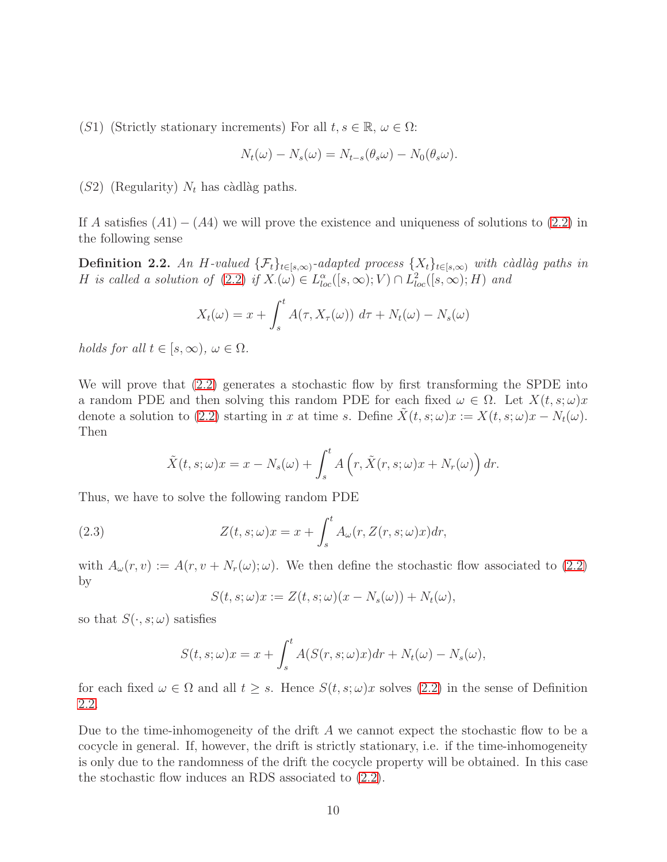(S1) (Strictly stationary increments) For all  $t, s \in \mathbb{R}, \omega \in \Omega$ :

$$
N_t(\omega) - N_s(\omega) = N_{t-s}(\theta_s \omega) - N_0(\theta_s \omega).
$$

 $(S2)$  (Regularity)  $N_t$  has càdlàg paths.

If A satisfies  $(A1) - (A4)$  we will prove the existence and uniqueness of solutions to  $(2.2)$  in the following sense

<span id="page-9-0"></span>**Definition 2.2.** An H-valued  $\{\mathcal{F}_t\}_{t\in[s,\infty)}$ -adapted process  $\{X_t\}_{t\in[s,\infty)}$  with càdlàg paths in H is called a solution of  $(2.2)$  if  $X_{\cdot}(\omega) \in L^{\alpha}_{loc}([s,\infty);V) \cap L^2_{loc}([s,\infty);H)$  and

$$
X_t(\omega) = x + \int_s^t A(\tau, X_\tau(\omega)) d\tau + N_t(\omega) - N_s(\omega)
$$

holds for all  $t \in [s, \infty)$ ,  $\omega \in \Omega$ .

We will prove that  $(2.2)$  generates a stochastic flow by first transforming the SPDE into a random PDE and then solving this random PDE for each fixed  $\omega \in \Omega$ . Let  $X(t, s; \omega)x$ denote a solution to [\(2.2\)](#page-8-0) starting in x at time s. Define  $X(t, s; \omega)x := X(t, s; \omega)x - N_t(\omega)$ . Then

$$
\tilde{X}(t,s;\omega)x = x - N_s(\omega) + \int_s^t A\left(r, \tilde{X}(r,s;\omega)x + N_r(\omega)\right) dr.
$$

Thus, we have to solve the following random PDE

<span id="page-9-1"></span>(2.3) 
$$
Z(t,s;\omega)x = x + \int_s^t A_\omega(r, Z(r,s;\omega)x) dr,
$$

with  $A_\omega(r, v) := A(r, v + N_r(\omega); \omega)$ . We then define the stochastic flow associated to [\(2.2\)](#page-8-0) by

$$
S(t, s; \omega)x := Z(t, s; \omega)(x - N_s(\omega)) + N_t(\omega),
$$

so that  $S(\cdot, s; \omega)$  satisfies

$$
S(t, s; \omega)x = x + \int_s^t A(S(r, s; \omega)x) dr + N_t(\omega) - N_s(\omega),
$$

for each fixed  $\omega \in \Omega$  and all  $t \geq s$ . Hence  $S(t, s; \omega)x$  solves [\(2.2\)](#page-8-0) in the sense of Definition [2.2.](#page-9-0)

Due to the time-inhomogeneity of the drift A we cannot expect the stochastic flow to be a cocycle in general. If, however, the drift is strictly stationary, i.e. if the time-inhomogeneity is only due to the randomness of the drift the cocycle property will be obtained. In this case the stochastic flow induces an RDS associated to [\(2.2\)](#page-8-0).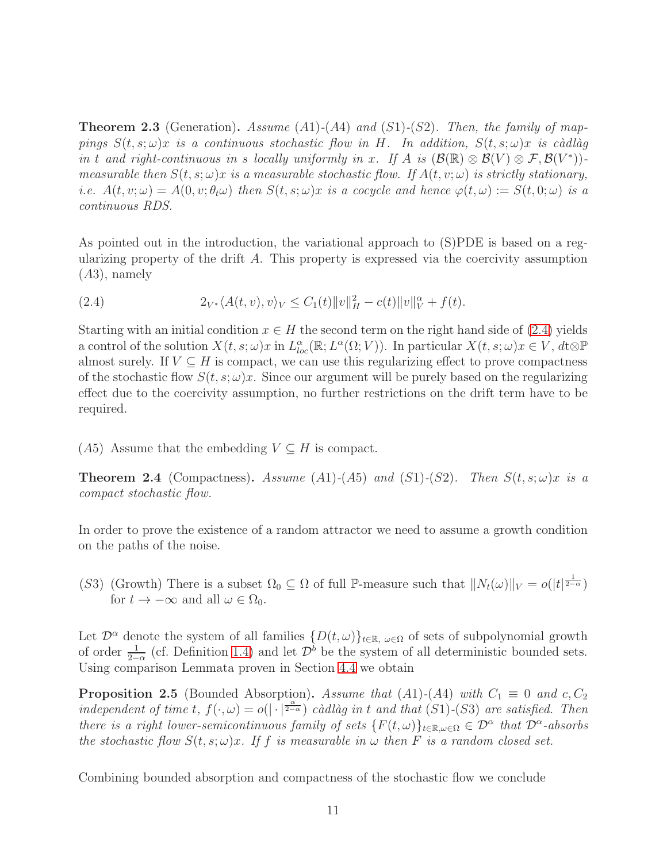<span id="page-10-1"></span>**Theorem 2.3** (Generation). Assume (A1)-(A4) and (S1)-(S2). Then, the family of mappings  $S(t, s; \omega)x$  is a continuous stochastic flow in H. In addition,  $S(t, s; \omega)x$  is càdlàg in t and right-continuous in s locally uniformly in x. If A is  $(\mathcal{B}(\mathbb{R}) \otimes \mathcal{B}(V) \otimes \mathcal{F}, \mathcal{B}(V^*))$ measurable then  $S(t, s; \omega)x$  is a measurable stochastic flow. If  $A(t, v; \omega)$  is strictly stationary, i.e.  $A(t, v; \omega) = A(0, v; \theta_t \omega)$  then  $S(t, s; \omega)x$  is a cocycle and hence  $\varphi(t, \omega) := S(t, 0; \omega)$  is a continuous RDS.

As pointed out in the introduction, the variational approach to (S)PDE is based on a regularizing property of the drift A. This property is expressed via the coercivity assumption (A3), namely

<span id="page-10-0"></span>(2.4) 
$$
2_{V^*}\langle A(t,v),v\rangle_V \leq C_1(t)\|v\|_H^2 - c(t)\|v\|_V^\alpha + f(t).
$$

Starting with an initial condition  $x \in H$  the second term on the right hand side of [\(2.4\)](#page-10-0) yields a control of the solution  $X(t, s; \omega)x$  in  $L_{loc}^{\alpha}(\mathbb{R}; L^{\alpha}(\Omega; V))$ . In particular  $X(t, s; \omega)x \in V$ ,  $dt \otimes \mathbb{P}$ almost surely. If  $V \subseteq H$  is compact, we can use this regularizing effect to prove compactness of the stochastic flow  $S(t, s; \omega)x$ . Since our argument will be purely based on the regularizing effect due to the coercivity assumption, no further restrictions on the drift term have to be required.

(A5) Assume that the embedding  $V \subseteq H$  is compact.

<span id="page-10-2"></span>**Theorem 2.4** (Compactness). Assume  $(A1)-(A5)$  and  $(S1)-(S2)$ . Then  $S(t, s; \omega)x$  is a compact stochastic flow.

In order to prove the existence of a random attractor we need to assume a growth condition on the paths of the noise.

(S3) (Growth) There is a subset  $\Omega_0 \subseteq \Omega$  of full P-measure such that  $||N_t(\omega)||_V = o(|t|^{\frac{1}{2-\alpha}})$ for  $t \to -\infty$  and all  $\omega \in \Omega_0$ .

Let  $\mathcal{D}^{\alpha}$  denote the system of all families  $\{D(t,\omega)\}_{t\in\mathbb{R},\omega\in\Omega}$  of sets of subpolynomial growth of order  $\frac{1}{2-\alpha}$  (cf. Definition [1.4\)](#page-5-1) and let  $\mathcal{D}^b$  be the system of all deterministic bounded sets. Using comparison Lemmata proven in Section [4.4](#page-24-0) we obtain

<span id="page-10-3"></span>**Proposition 2.5** (Bounded Absorption). Assume that (A1)-(A4) with  $C_1 \equiv 0$  and  $c, C_2$ independent of time t,  $f(\cdot,\omega) = o(|\cdot|^\frac{\alpha}{2-\alpha})$  càdlàg in t and that (S1)-(S3) are satisfied. Then there is a right lower-semicontinuous family of sets  $\{F(t,\omega)\}_{t\in\mathbb{R},\omega\in\Omega} \in \mathcal{D}^{\alpha}$  that  $\mathcal{D}^{\alpha}$ -absorbs the stochastic flow  $S(t, s; \omega)x$ . If f is measurable in  $\omega$  then F is a random closed set.

Combining bounded absorption and compactness of the stochastic flow we conclude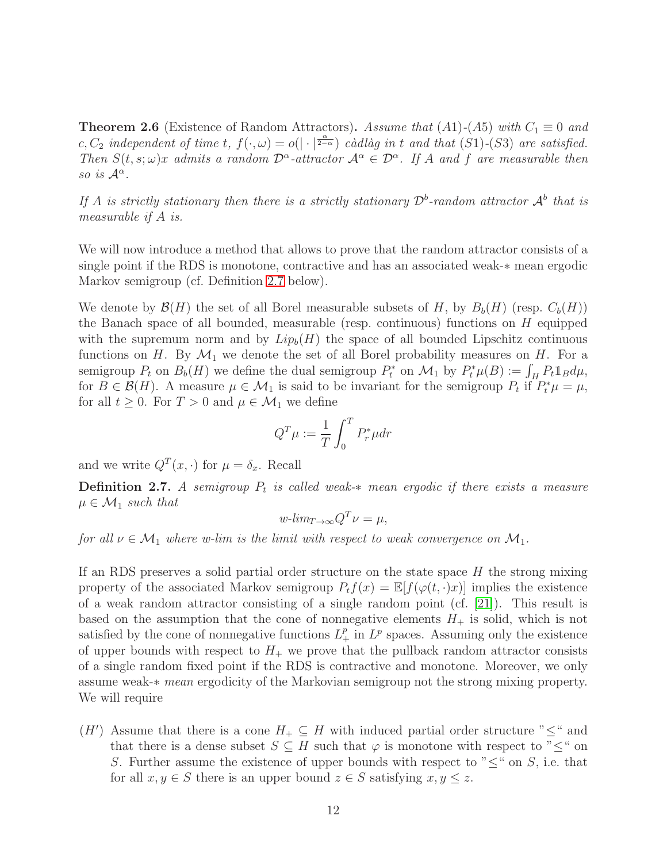<span id="page-11-0"></span>**Theorem 2.6** (Existence of Random Attractors). Assume that (A1)-(A5) with  $C_1 \equiv 0$  and c,  $C_2$  independent of time t,  $f(\cdot,\omega) = o(|\cdot|^\frac{\alpha}{2-\alpha})$  càdlàg in t and that  $(S1)-(S3)$  are satisfied. Then  $S(t, s; \omega)x$  admits a random  $\mathcal{D}^{\alpha}$ -attractor  $\mathcal{A}^{\alpha} \in \mathcal{D}^{\alpha}$ . If A and f are measurable then so is  $\mathcal{A}^{\alpha}$ .

If A is strictly stationary then there is a strictly stationary  $\mathcal{D}^b$ -random attractor  $\mathcal{A}^b$  that is measurable if A is.

We will now introduce a method that allows to prove that the random attractor consists of a single point if the RDS is monotone, contractive and has an associated weak-∗ mean ergodic Markov semigroup (cf. Definition [2.7](#page-11-1) below).

We denote by  $\mathcal{B}(H)$  the set of all Borel measurable subsets of H, by  $B_b(H)$  (resp.  $C_b(H)$ ) the Banach space of all bounded, measurable (resp. continuous) functions on  $H$  equipped with the supremum norm and by  $Lip_b(H)$  the space of all bounded Lipschitz continuous functions on H. By  $\mathcal{M}_1$  we denote the set of all Borel probability measures on H. For a semigroup  $P_t$  on  $B_b(H)$  we define the dual semigroup  $P_t^*$  on  $\mathcal{M}_1$  by  $P_t^*\mu(B) := \int_H P_t \mathbb{1}_B d\mu$ , for  $B \in \mathcal{B}(H)$ . A measure  $\mu \in \mathcal{M}_1$  is said to be invariant for the semigroup  $P_t$  if  $P_t^* \mu = \mu$ , for all  $t \geq 0$ . For  $T > 0$  and  $\mu \in \mathcal{M}_1$  we define

$$
Q^T\mu := \frac{1}{T}\int_0^T P_r^*\mu dr
$$

and we write  $Q^T(x, \cdot)$  for  $\mu = \delta_x$ . Recall

<span id="page-11-1"></span>**Definition 2.7.** A semigroup  $P_t$  is called weak- $*$  mean ergodic if there exists a measure  $\mu \in \mathcal{M}_1$  such that

$$
w\text{-}lim_{T\to\infty}Q^T\nu=\mu,
$$

for all  $\nu \in \mathcal{M}_1$  where w-lim is the limit with respect to weak convergence on  $\mathcal{M}_1$ .

If an RDS preserves a solid partial order structure on the state space  $H$  the strong mixing property of the associated Markov semigroup  $P_tf(x) = \mathbb{E}[f(\varphi(t,\cdot)x)]$  implies the existence of a weak random attractor consisting of a single random point (cf. [\[21\]](#page-37-7)). This result is based on the assumption that the cone of nonnegative elements  $H_+$  is solid, which is not satisfied by the cone of nonnegative functions  $L^p_+$  in  $L^p$  spaces. Assuming only the existence of upper bounds with respect to  $H_{+}$  we prove that the pullback random attractor consists of a single random fixed point if the RDS is contractive and monotone. Moreover, we only assume weak-∗ mean ergodicity of the Markovian semigroup not the strong mixing property. We will require

(H') Assume that there is a cone  $H_+ \subseteq H$  with induced partial order structure " $\leq$ " and that there is a dense subset  $S \subseteq H$  such that  $\varphi$  is monotone with respect to " $\leq$ " on S. Further assume the existence of upper bounds with respect to " $\leq$ " on S, i.e. that for all  $x, y \in S$  there is an upper bound  $z \in S$  satisfying  $x, y \leq z$ .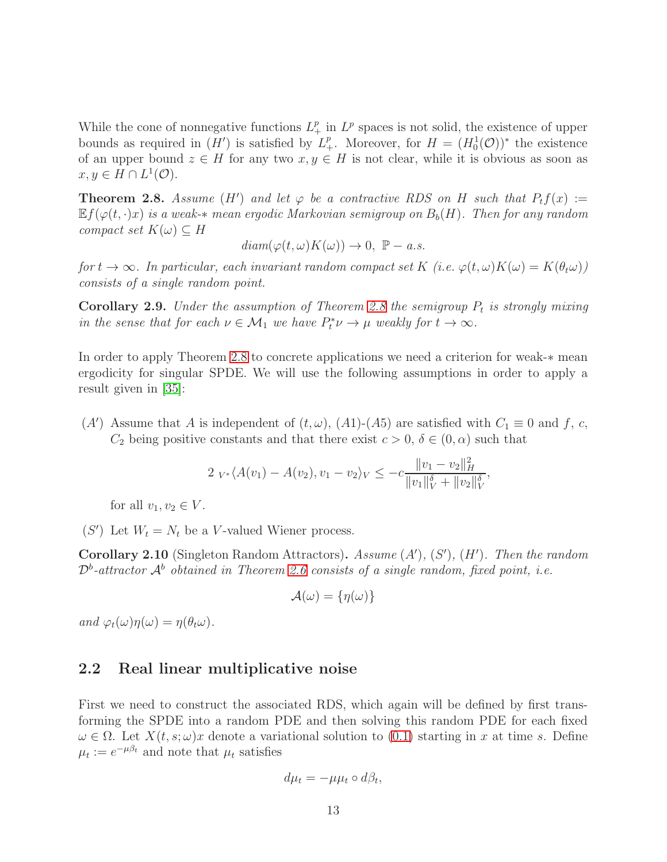While the cone of nonnegative functions  $L^p_+$  in  $L^p$  spaces is not solid, the existence of upper bounds as required in  $(H')$  is satisfied by  $L^p_+$ . Moreover, for  $H = (H_0^1(\mathcal{O}))^*$  the existence of an upper bound  $z \in H$  for any two  $x, y \in H$  is not clear, while it is obvious as soon as  $x, y \in H \cap L^1(\mathcal{O}).$ 

<span id="page-12-0"></span>**Theorem 2.8.** Assume (H') and let  $\varphi$  be a contractive RDS on H such that  $P_t f(x) :=$  $E f(\varphi(t,\cdot)x)$  is a weak- $*$  mean ergodic Markovian semigroup on  $B_b(H)$ . Then for any random compact set  $K(\omega) \subseteq H$ 

 $diam(\varphi(t,\omega)K(\omega)) \to 0, \ \mathbb{P}-a.s.$ 

for  $t \to \infty$ . In particular, each invariant random compact set K (i.e.  $\varphi(t,\omega)K(\omega) = K(\theta_t\omega)$ ) consists of a single random point.

<span id="page-12-1"></span>**Corollary 2.9.** Under the assumption of Theorem [2.8](#page-12-0) the semigroup  $P_t$  is strongly mixing in the sense that for each  $\nu \in \mathcal{M}_1$  we have  $P_t^* \nu \to \mu$  weakly for  $t \to \infty$ .

In order to apply Theorem [2.8](#page-12-0) to concrete applications we need a criterion for weak-∗ mean ergodicity for singular SPDE. We will use the following assumptions in order to apply a result given in [\[35\]](#page-38-8):

(A') Assume that A is independent of  $(t, \omega)$ ,  $(A1)-(A5)$  are satisfied with  $C_1 \equiv 0$  and f, c,  $C_2$  being positive constants and that there exist  $c > 0$ ,  $\delta \in (0, \alpha)$  such that

$$
2 V_{*} \langle A(v_{1}) - A(v_{2}), v_{1} - v_{2} \rangle_{V} \leq -c \frac{\|v_{1} - v_{2}\|_{H}^{2}}{\|v_{1}\|_{V}^{\delta} + \|v_{2}\|_{V}^{\delta}},
$$

for all  $v_1, v_2 \in V$ .

 $(S')$  Let  $W_t = N_t$  be a V-valued Wiener process.

<span id="page-12-2"></span>**Corollary 2.10** (Singleton Random Attractors). Assume  $(A')$ ,  $(S')$ ,  $(H')$ . Then the random  $\mathcal{D}^b$ -attractor  $\mathcal{A}^b$  obtained in Theorem [2.6](#page-11-0) consists of a single random, fixed point, i.e.

$$
\mathcal{A}(\omega) = \{\eta(\omega)\}\
$$

and  $\varphi_t(\omega)\eta(\omega) = \eta(\theta_t\omega)$ .

#### 2.2 Real linear multiplicative noise

First we need to construct the associated RDS, which again will be defined by first transforming the SPDE into a random PDE and then solving this random PDE for each fixed  $\omega \in \Omega$ . Let  $X(t, s; \omega)x$  denote a variational solution to [\(0.1\)](#page-3-0) starting in x at time s. Define  $\mu_t := e^{-\mu \beta_t}$  and note that  $\mu_t$  satisfies

$$
d\mu_t = -\mu\mu_t \circ d\beta_t,
$$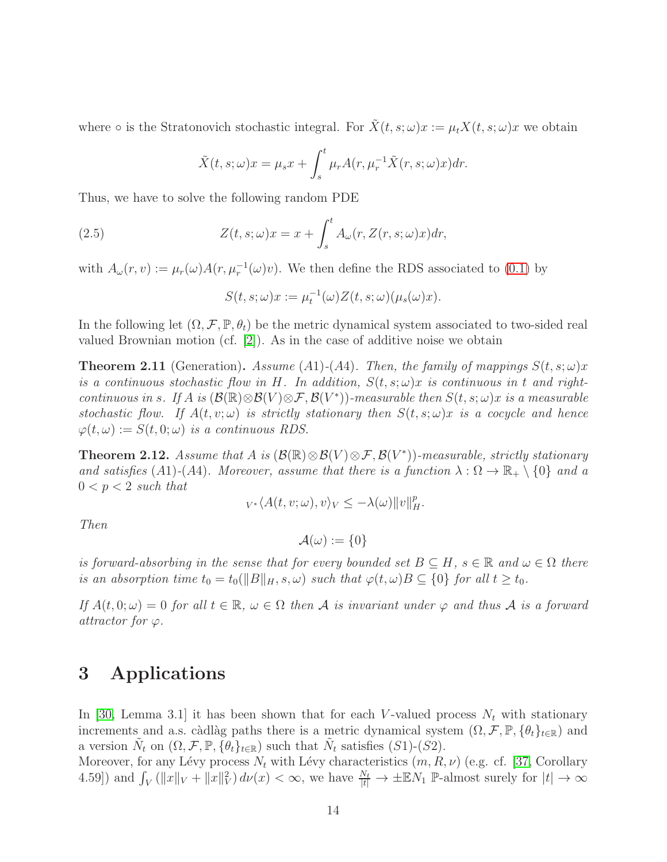where  $\circ$  is the Stratonovich stochastic integral. For  $\tilde{X}(t,s;\omega)x := \mu_t X(t,s;\omega)x$  we obtain

$$
\tilde{X}(t,s;\omega)x = \mu_s x + \int_s^t \mu_r A(r, \mu_r^{-1} \tilde{X}(r,s;\omega)x) dr.
$$

Thus, we have to solve the following random PDE

(2.5) 
$$
Z(t,s;\omega)x = x + \int_s^t A_\omega(r, Z(r,s;\omega)x)dr,
$$

with  $A_{\omega}(r, v) := \mu_r(\omega) A(r, \mu_r^{-1}(\omega)v)$ . We then define the RDS associated to [\(0.1\)](#page-3-0) by

$$
S(t, s; \omega)x := \mu_t^{-1}(\omega)Z(t, s; \omega)(\mu_s(\omega)x).
$$

In the following let  $(\Omega, \mathcal{F}, \mathbb{P}, \theta_t)$  be the metric dynamical system associated to two-sided real valued Brownian motion (cf. [\[2\]](#page-35-6)). As in the case of additive noise we obtain

**Theorem 2.11** (Generation). Assume (A1)-(A4). Then, the family of mappings  $S(t, s; \omega)x$ is a continuous stochastic flow in H. In addition,  $S(t, s; \omega)x$  is continuous in t and rightcontinuous in s. If A is  $(\mathcal{B}(\mathbb{R})\otimes\mathcal{B}(V)\otimes\mathcal{F},\mathcal{B}(V^*))$ -measurable then  $S(t,s;\omega)x$  is a measurable stochastic flow. If  $A(t, v; \omega)$  is strictly stationary then  $S(t, s; \omega)x$  is a cocycle and hence  $\varphi(t,\omega) := S(t,0;\omega)$  is a continuous RDS.

<span id="page-13-0"></span>**Theorem 2.12.** Assume that A is  $(\mathcal{B}(\mathbb{R}) \otimes \mathcal{B}(V) \otimes \mathcal{F}, \mathcal{B}(V^*))$ -measurable, strictly stationary and satisfies (A1)-(A4). Moreover, assume that there is a function  $\lambda : \Omega \to \mathbb{R}_+ \setminus \{0\}$  and a  $0 < p < 2$  such that

$$
_{V^*}\langle A(t,v;\omega),v\rangle_V\leq -\lambda(\omega)\|v\|_H^p.
$$

Then

 $\mathcal{A}(\omega) := \{0\}$ 

is forward-absorbing in the sense that for every bounded set  $B \subseteq H$ ,  $s \in \mathbb{R}$  and  $\omega \in \Omega$  there is an absorption time  $t_0 = t_0(||B||_H, s, \omega)$  such that  $\varphi(t, \omega)B \subseteq \{0\}$  for all  $t \geq t_0$ .

If  $A(t, 0; \omega) = 0$  for all  $t \in \mathbb{R}$ ,  $\omega \in \Omega$  then A is invariant under  $\varphi$  and thus A is a forward attractor for  $\varphi$ .

# 3 Applications

In [\[30,](#page-37-2) Lemma 3.1] it has been shown that for each V-valued process  $N_t$  with stationary increments and a.s. càdlàg paths there is a metric dynamical system  $(\Omega, \mathcal{F}, \mathbb{P}, \{\theta_t\}_{t \in \mathbb{R}})$  and a version  $\tilde{N}_t$  on  $(\Omega, \mathcal{F}, \mathbb{P}, {\lbrace \theta_t \rbrace_{t \in \mathbb{R}}} )$  such that  $\tilde{N}_t$  satisfies  $(S1)-(S2)$ .

Moreover, for any Lévy process  $N_t$  with Lévy characteristics  $(m, R, \nu)$  (e.g. cf. [\[37,](#page-38-9) Corollary 4.59]) and  $\int_V (||x||_V + ||x||_V^2) d\nu(x) < \infty$ , we have  $\frac{N_t}{|t|} \to \pm \mathbb{E} N_1$  P-almost surely for  $|t| \to \infty$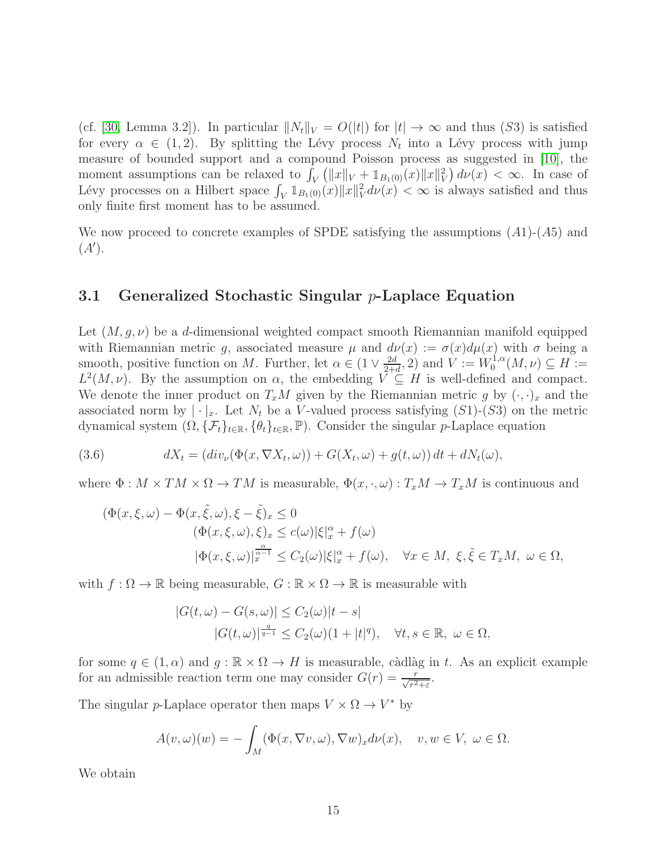(cf. [\[30,](#page-37-2) Lemma 3.2]). In particular  $||N_t||_V = O(|t|)$  for  $|t| \to \infty$  and thus (S3) is satisfied for every  $\alpha \in (1,2)$ . By splitting the Lévy process  $N_t$  into a Lévy process with jump measure of bounded support and a compound Poisson process as suggested in [\[10\]](#page-36-10), the moment assumptions can be relaxed to  $\int_V (||x||_V + \mathbb{1}_{B_1(0)}(x)||x||_V^2) d\nu(x) < \infty$ . In case of Lévy processes on a Hilbert space  $\int_V 1\!\!1_{B_1(0)}(x)\|x\|_V^2 d\nu(x) < \infty$  is always satisfied and thus only finite first moment has to be assumed.

We now proceed to concrete examples of SPDE satisfying the assumptions  $(A1)$ - $(A5)$  and  $(A^{\prime}).$ 

#### 3.1 Generalized Stochastic Singular  $p$ -Laplace Equation

Let  $(M, g, \nu)$  be a d-dimensional weighted compact smooth Riemannian manifold equipped with Riemannian metric g, associated measure  $\mu$  and  $d\nu(x) := \sigma(x)d\mu(x)$  with  $\sigma$  being a smooth, positive function on M. Further, let  $\alpha \in (1 \vee \frac{2d}{2+\alpha})$  $\frac{2d}{2+d}$ , 2) and  $V := W_0^{1,\alpha}$  $C_0^{1,\alpha}(M,\nu)\subseteq H:=$  $L^2(M,\nu)$ . By the assumption on  $\alpha$ , the embedding  $V \subseteq H$  is well-defined and compact. We denote the inner product on  $T_xM$  given by the Riemannian metric g by  $(\cdot, \cdot)_x$  and the associated norm by  $|\cdot|_x$ . Let  $N_t$  be a V-valued process satisfying  $(S1)-(S3)$  on the metric dynamical system  $(\Omega, {\{\mathcal{F}_t\}}_{t \in \mathbb{R}}, {\{\theta_t\}}_{t \in \mathbb{R}}, \mathbb{P})$ . Consider the singular p-Laplace equation

(3.6) 
$$
dX_t = (div_\nu(\Phi(x, \nabla X_t, \omega)) + G(X_t, \omega) + g(t, \omega)) dt + dN_t(\omega),
$$

where  $\Phi: M \times TM \times \Omega \to TM$  is measurable,  $\Phi(x, \cdot, \omega): T_xM \to T_xM$  is continuous and

<span id="page-14-0"></span>
$$
(\Phi(x,\xi,\omega) - \Phi(x,\tilde{\xi},\omega), \xi - \tilde{\xi})_x \le 0
$$
  
\n
$$
(\Phi(x,\xi,\omega), \xi)_x \le c(\omega)|\xi|_x^{\alpha} + f(\omega)
$$
  
\n
$$
|\Phi(x,\xi,\omega)|_x^{\frac{\alpha}{\alpha-1}} \le C_2(\omega)|\xi|_x^{\alpha} + f(\omega), \quad \forall x \in M, \ \xi, \tilde{\xi} \in T_xM, \ \omega \in \Omega,
$$

with  $f : \Omega \to \mathbb{R}$  being measurable,  $G : \mathbb{R} \times \Omega \to \mathbb{R}$  is measurable with

$$
|G(t,\omega) - G(s,\omega)| \le C_2(\omega)|t - s|
$$
  

$$
|G(t,\omega)|^{\frac{q}{q-1}} \le C_2(\omega)(1+|t|^q), \quad \forall t, s \in \mathbb{R}, \ \omega \in \Omega,
$$

for some  $q \in (1, \alpha)$  and  $q : \mathbb{R} \times \Omega \to H$  is measurable, càdlàg in t. As an explicit example for an admissible reaction term one may consider  $G(r) = \frac{r}{\sqrt{r^2 + \varepsilon}}$ .

The singular p-Laplace operator then maps  $V \times \Omega \to V^*$  by

$$
A(v, \omega)(w) = -\int_M (\Phi(x, \nabla v, \omega), \nabla w)_x d\nu(x), \quad v, w \in V, \ \omega \in \Omega.
$$

We obtain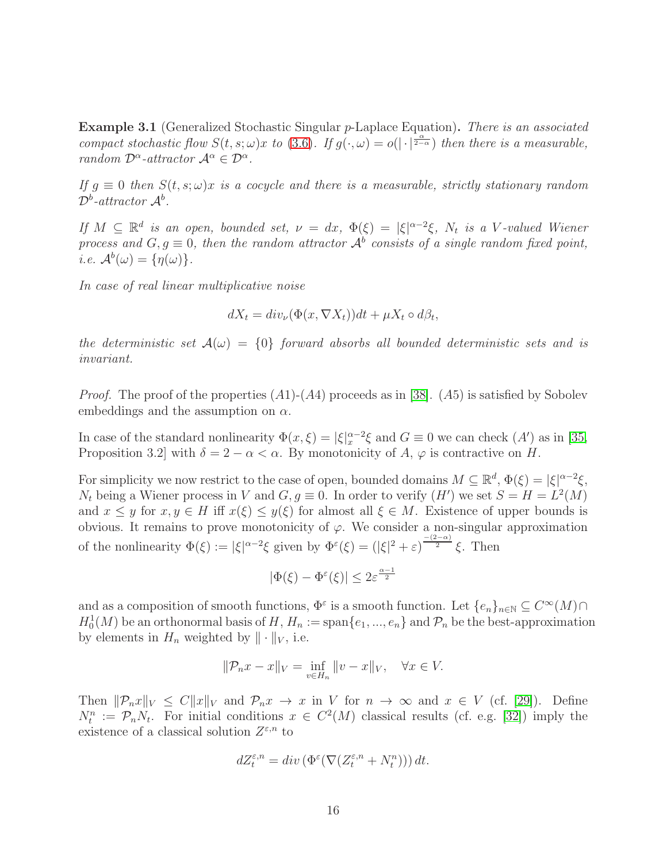<span id="page-15-0"></span>Example 3.1 (Generalized Stochastic Singular p-Laplace Equation). There is an associated compact stochastic flow  $S(t, s; \omega)x$  to [\(3.6\)](#page-14-0). If  $g(\cdot, \omega) = o(|\cdot|^{\frac{\alpha}{2-\alpha}})$  then there is a measurable, random  $\mathcal{D}^{\alpha}$ -attractor  $\mathcal{A}^{\alpha} \in \mathcal{D}^{\alpha}$ .

If  $g \equiv 0$  then  $S(t, s; \omega)x$  is a cocycle and there is a measurable, strictly stationary random  $\mathcal{D}^b$ -attractor  $\mathcal{A}^b$ .

If  $M \subseteq \mathbb{R}^d$  is an open, bounded set,  $\nu = dx$ ,  $\Phi(\xi) = |\xi|^{\alpha-2}\xi$ ,  $N_t$  is a V-valued Wiener process and  $G, g \equiv 0$ , then the random attractor  $\mathcal{A}^b$  consists of a single random fixed point, *i.e.*  $\mathcal{A}^b(\omega) = {\eta(\omega)}$ .

In case of real linear multiplicative noise

$$
dX_t = div_{\nu}(\Phi(x, \nabla X_t))dt + \mu X_t \circ d\beta_t,
$$

the deterministic set  $A(\omega) = \{0\}$  forward absorbs all bounded deterministic sets and is invariant.

*Proof.* The proof of the properties  $(A1)$ - $(A4)$  proceeds as in [\[38\]](#page-38-7).  $(A5)$  is satisfied by Sobolev embeddings and the assumption on  $\alpha$ .

In case of the standard nonlinearity  $\Phi(x,\xi) = |\xi|_x^{\alpha-2}\xi$  and  $G \equiv 0$  we can check  $(A')$  as in [\[35,](#page-38-8) Proposition 3.2] with  $\delta = 2 - \alpha < \alpha$ . By monotonicity of A,  $\varphi$  is contractive on H.

For simplicity we now restrict to the case of open, bounded domains  $M \subseteq \mathbb{R}^d$ ,  $\Phi(\xi) = |\xi|^{\alpha-2} \xi$ ,  $N_t$  being a Wiener process in V and  $G, g \equiv 0$ . In order to verify  $(H')$  we set  $S = H = L^2(M)$ and  $x \leq y$  for  $x, y \in H$  iff  $x(\xi) \leq y(\xi)$  for almost all  $\xi \in M$ . Existence of upper bounds is obvious. It remains to prove monotonicity of  $\varphi$ . We consider a non-singular approximation of the nonlinearity  $\Phi(\xi) := |\xi|^{\alpha-2}\xi$  given by  $\Phi^{\varepsilon}(\xi) = (|\xi|^2 + \varepsilon)^{\frac{-(2-\alpha)}{2}}\xi$ . Then

$$
|\Phi(\xi) - \Phi^{\varepsilon}(\xi)| \le 2\varepsilon^{\frac{\alpha - 1}{2}}
$$

and as a composition of smooth functions,  $\Phi^{\varepsilon}$  is a smooth function. Let  $\{e_n\}_{n\in\mathbb{N}}\subseteq C^{\infty}(M)\cap$  $H_0^1(M)$  be an orthonormal basis of H,  $H_n := \text{span}\{e_1, ..., e_n\}$  and  $\mathcal{P}_n$  be the best-approximation by elements in  $H_n$  weighted by  $\|\cdot\|_V$ , i.e.

$$
\|\mathcal{P}_n x - x\|_V = \inf_{v \in H_n} \|v - x\|_V, \quad \forall x \in V.
$$

Then  $\|\mathcal{P}_n x\|_V \leq C \|x\|_V$  and  $\mathcal{P}_n x \to x$  in V for  $n \to \infty$  and  $x \in V$  (cf. [\[29\]](#page-37-9)). Define  $N_t^n := \mathcal{P}_n N_t$ . For initial conditions  $x \in C^2(M)$  classical results (cf. e.g. [\[32\]](#page-37-10)) imply the existence of a classical solution  $Z^{\varepsilon,n}$  to

$$
dZ_t^{\varepsilon,n} = \operatorname{div}\left(\Phi^\varepsilon(\nabla(Z_t^{\varepsilon,n} + N_t^n))\right)dt.
$$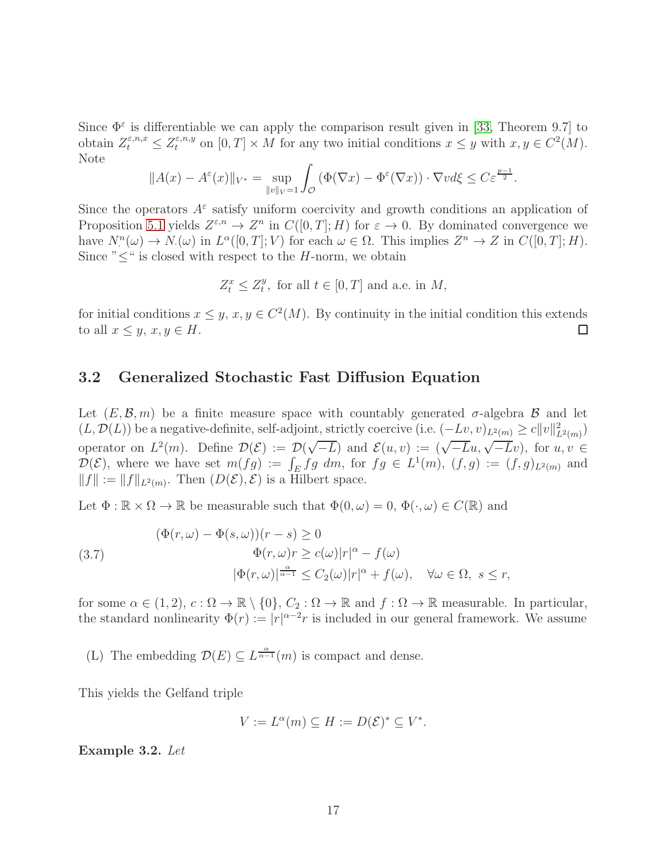Since  $\Phi^{\varepsilon}$  is differentiable we can apply the comparison result given in [\[33,](#page-37-11) Theorem 9.7] to obtain  $Z_t^{\varepsilon,n,x} \leq Z_t^{\varepsilon,n,y}$  on  $[0,T] \times M$  for any two initial conditions  $x \leq y$  with  $x, y \in C^2(M)$ . Note

$$
||A(x) - A^{\varepsilon}(x)||_{V^*} = \sup_{||v||_V = 1} \int_{\mathcal{O}} \left( \Phi(\nabla x) - \Phi^{\varepsilon}(\nabla x) \right) \cdot \nabla v d\xi \le C \varepsilon^{\frac{p-1}{2}}.
$$

Since the operators  $A^{\varepsilon}$  satisfy uniform coercivity and growth conditions an application of Proposition [5.1](#page-34-0) yields  $Z^{\varepsilon,n} \to Z^n$  in  $C([0,T];H)$  for  $\varepsilon \to 0$ . By dominated convergence we have  $N_{\cdot}^n(\omega) \to N_{\cdot}(\omega)$  in  $L^{\alpha}([0,T];V)$  for each  $\omega \in \Omega$ . This implies  $Z^n \to Z$  in  $C([0,T];H)$ . Since " $\leq$ " is closed with respect to the *H*-norm, we obtain

$$
Z_t^x \le Z_t^y
$$
, for all  $t \in [0, T]$  and a.e. in  $M$ ,

for initial conditions  $x \leq y, x, y \in C^2(M)$ . By continuity in the initial condition this extends to all  $x \leq y, x, y \in H$ . □

#### 3.2 Generalized Stochastic Fast Diffusion Equation

Let  $(E, \mathcal{B}, m)$  be a finite measure space with countably generated  $\sigma$ -algebra  $\mathcal{B}$  and let  $(L, \mathcal{D}(L))$  be a negative-definite, self-adjoint, strictly coercive (i.e.  $(-Lv, v)_{L^2(m)} \ge c||v||^2_{L^2(m)}$ ) operator on  $L^2(m)$ . Define  $\mathcal{D}(\mathcal{E}) := \mathcal{D}(\sqrt{-L})$  and  $\mathcal{E}(u, v) := (\sqrt{-L}u, \sqrt{-L}v)$ , for  $u, v \in$  $\mathcal{D}(\mathcal{E})$ , where we have set  $m(fg) := \int_E fg \ dm$ , for  $fg \in L^1(m)$ ,  $(f,g) := (f,g)_{L^2(m)}$  and  $||f|| := ||f||_{L^2(m)}$ . Then  $(D(\mathcal{E}), \mathcal{E})$  is a Hilbert space.

Let  $\Phi : \mathbb{R} \times \Omega \to \mathbb{R}$  be measurable such that  $\Phi(0, \omega) = 0$ ,  $\Phi(\cdot, \omega) \in C(\mathbb{R})$  and

<span id="page-16-0"></span>(3.7)  
\n
$$
(\Phi(r,\omega) - \Phi(s,\omega))(r-s) \ge 0
$$
\n
$$
\Phi(r,\omega)r \ge c(\omega)|r|^{\alpha} - f(\omega)
$$
\n
$$
|\Phi(r,\omega)|^{\frac{\alpha}{\alpha-1}} \le C_2(\omega)|r|^{\alpha} + f(\omega), \quad \forall \omega \in \Omega, \ s \le r,
$$

for some  $\alpha \in (1, 2)$ ,  $c : \Omega \to \mathbb{R} \setminus \{0\}$ ,  $C_2 : \Omega \to \mathbb{R}$  and  $f : \Omega \to \mathbb{R}$  measurable. In particular, the standard nonlinearity  $\Phi(r) := |r|^{\alpha-2}r$  is included in our general framework. We assume

(L) The embedding  $\mathcal{D}(E) \subseteq L^{\frac{\alpha}{\alpha-1}}(m)$  is compact and dense.

This yields the Gelfand triple

$$
V := L^{\alpha}(m) \subseteq H := D(\mathcal{E})^* \subseteq V^*.
$$

Example 3.2. Let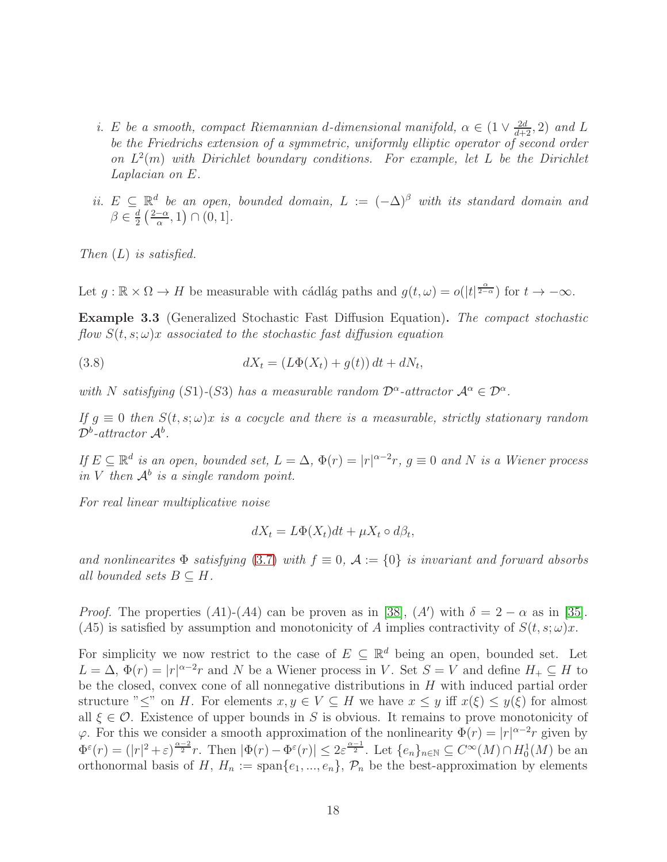- i. E be a smooth, compact Riemannian d-dimensional manifold,  $\alpha \in (1 \vee \frac{2d}{d+2}, 2)$  and L be the Friedrichs extension of a symmetric, uniformly elliptic operator of second order on  $L^2(m)$  with Dirichlet boundary conditions. For example, let L be the Dirichlet Laplacian on E.
- ii.  $E \subseteq \mathbb{R}^d$  be an open, bounded domain,  $L := (-\Delta)^{\beta}$  with its standard domain and  $\beta \in \frac{d}{2}$  $\frac{d}{2} \left( \frac{2-\alpha}{\alpha}, 1 \right) \cap (0, 1].$

Then  $(L)$  is satisfied.

Let  $g: \mathbb{R} \times \Omega \to H$  be measurable with cádlág paths and  $g(t, \omega) = o(|t|^{\frac{\alpha}{2-\alpha}})$  for  $t \to -\infty$ .

Example 3.3 (Generalized Stochastic Fast Diffusion Equation). The compact stochastic flow  $S(t, s; \omega)x$  associated to the stochastic fast diffusion equation

(3.8) 
$$
dX_t = (L\Phi(X_t) + g(t)) dt + dN_t,
$$

with N satisfying (S1)-(S3) has a measurable random  $\mathcal{D}^{\alpha}$ -attractor  $\mathcal{A}^{\alpha} \in \mathcal{D}^{\alpha}$ .

If  $g \equiv 0$  then  $S(t, s; \omega)x$  is a cocycle and there is a measurable, strictly stationary random  $\mathcal{D}^b$ -attractor  $\mathcal{A}^b$ .

If  $E \subseteq \mathbb{R}^d$  is an open, bounded set,  $L = \Delta$ ,  $\Phi(r) = |r|^{\alpha-2}r$ ,  $g \equiv 0$  and N is a Wiener process in V then  $\mathcal{A}^b$  is a single random point.

For real linear multiplicative noise

$$
dX_t = L\Phi(X_t)dt + \mu X_t \circ d\beta_t,
$$

and nonlinearites  $\Phi$  satisfying [\(3.7\)](#page-16-0) with  $f \equiv 0$ ,  $\mathcal{A} := \{0\}$  is invariant and forward absorbs all bounded sets  $B \subseteq H$ .

*Proof.* The properties (A1)-(A4) can be proven as in [\[38\]](#page-38-7), (A') with  $\delta = 2 - \alpha$  as in [\[35\]](#page-38-8). (A5) is satisfied by assumption and monotonicity of A implies contractivity of  $S(t, s; \omega)x$ .

For simplicity we now restrict to the case of  $E \subseteq \mathbb{R}^d$  being an open, bounded set. Let  $L = \Delta$ ,  $\Phi(r) = |r|^{\alpha-2}r$  and N be a Wiener process in V. Set  $S = V$  and define  $H_+ \subseteq H$  to be the closed, convex cone of all nonnegative distributions in  $H$  with induced partial order structure " $\leq$ " on H. For elements  $x, y \in V \subseteq H$  we have  $x \leq y$  iff  $x(\xi) \leq y(\xi)$  for almost all  $\xi \in \mathcal{O}$ . Existence of upper bounds in S is obvious. It remains to prove monotonicity of  $\varphi$ . For this we consider a smooth approximation of the nonlinearity  $\Phi(r) = |r|^{\alpha-2}r$  given by  $\Phi^{\varepsilon}(r) = (|r|^2 + \varepsilon)^{\frac{\alpha-2}{2}} r$ . Then  $|\Phi(r) - \Phi^{\varepsilon}(r)| \leq 2\varepsilon^{\frac{\alpha-1}{2}}$ . Let  $\{e_n\}_{n\in\mathbb{N}} \subseteq C^{\infty}(M) \cap H_0^1(M)$  be an orthonormal basis of H,  $H_n := \text{span}\{e_1, ..., e_n\}$ ,  $\mathcal{P}_n$  be the best-approximation by elements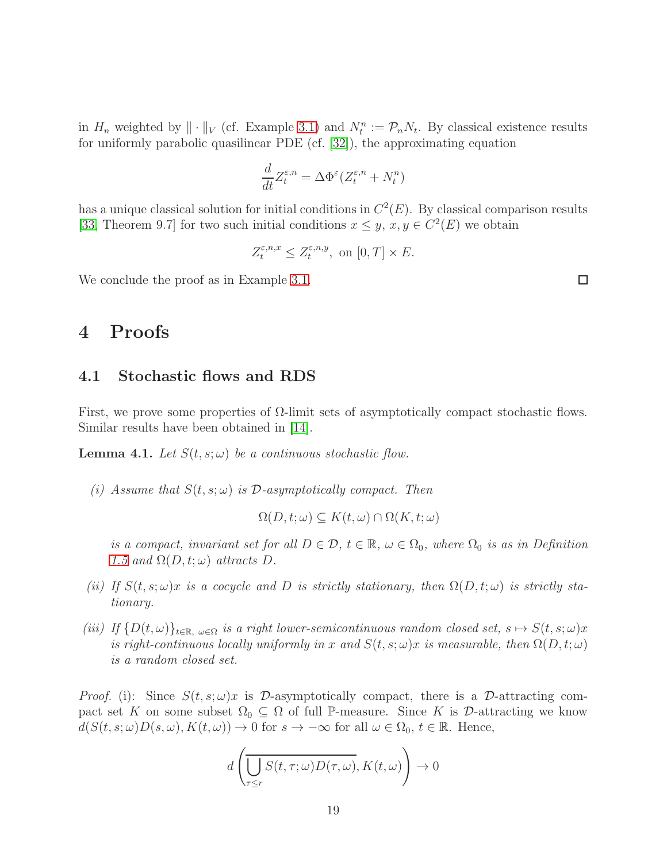in  $H_n$  weighted by  $||\cdot||_V$  (cf. Example [3.1\)](#page-15-0) and  $N_t^n := \mathcal{P}_n N_t$ . By classical existence results for uniformly parabolic quasilinear PDE (cf. [\[32\]](#page-37-10)), the approximating equation

$$
\frac{d}{dt}Z_t^{\varepsilon,n} = \Delta \Phi^{\varepsilon} (Z_t^{\varepsilon,n} + N_t^n)
$$

has a unique classical solution for initial conditions in  $C<sup>2</sup>(E)$ . By classical comparison results [\[33,](#page-37-11) Theorem 9.7] for two such initial conditions  $x \leq y$ ,  $x, y \in C^2(E)$  we obtain

$$
Z_t^{\varepsilon,n,x} \le Z_t^{\varepsilon,n,y}, \text{ on } [0,T] \times E.
$$

We conclude the proof as in Example [3.1.](#page-15-0)

# 4 Proofs

#### 4.1 Stochastic flows and RDS

First, we prove some properties of  $\Omega$ -limit sets of asymptotically compact stochastic flows. Similar results have been obtained in [\[14\]](#page-36-11).

<span id="page-18-0"></span>**Lemma 4.1.** Let  $S(t, s; \omega)$  be a continuous stochastic flow.

(i) Assume that  $S(t, s; \omega)$  is  $\mathcal{D}$ -asymptotically compact. Then

$$
\Omega(D, t; \omega) \subseteq K(t, \omega) \cap \Omega(K, t; \omega)
$$

is a compact, invariant set for all  $D \in \mathcal{D}$ ,  $t \in \mathbb{R}$ ,  $\omega \in \Omega_0$ , where  $\Omega_0$  is as in Definition [1.5](#page-5-0) and  $\Omega(D, t; \omega)$  attracts D.

- (ii) If  $S(t, s; \omega)x$  is a cocycle and D is strictly stationary, then  $\Omega(D, t; \omega)$  is strictly stationary.
- (iii) If  $\{D(t,\omega)\}_{t\in\mathbb{R},\omega\in\Omega}$  is a right lower-semicontinuous random closed set,  $s\mapsto S(t,s;\omega)x$ is right-continuous locally uniformly in x and  $S(t, s; \omega)x$  is measurable, then  $\Omega(D, t; \omega)$ is a random closed set.

*Proof.* (i): Since  $S(t, s; \omega)x$  is D-asymptotically compact, there is a D-attracting compact set K on some subset  $\Omega_0 \subseteq \Omega$  of full P-measure. Since K is D-attracting we know  $d(S(t, s; \omega)D(s, \omega), K(t, \omega)) \to 0$  for  $s \to -\infty$  for all  $\omega \in \Omega_0, t \in \mathbb{R}$ . Hence,

$$
d\left(\overline{\bigcup_{\tau\leq r}S(t,\tau;\omega)D(\tau,\omega)},K(t,\omega)\right)\to 0
$$

 $\Box$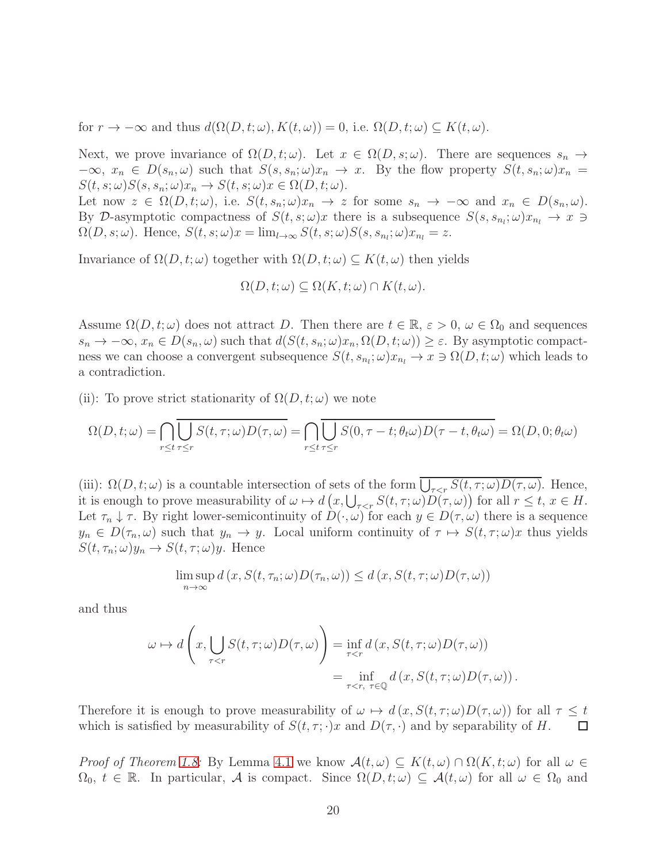for  $r \to -\infty$  and thus  $d(\Omega(D, t; \omega), K(t, \omega)) = 0$ , i.e.  $\Omega(D, t; \omega) \subseteq K(t, \omega)$ .

Next, we prove invariance of  $\Omega(D, t; \omega)$ . Let  $x \in \Omega(D, s; \omega)$ . There are sequences  $s_n \to$  $-\infty$ ,  $x_n \in D(s_n, \omega)$  such that  $S(s, s_n; \omega)x_n \to x$ . By the flow property  $S(t, s_n; \omega)x_n =$  $S(t, s; \omega)S(s, s_n; \omega)x_n \to S(t, s; \omega)x \in \Omega(D, t; \omega).$ 

Let now  $z \in \Omega(D, t; \omega)$ , i.e.  $S(t, s_n; \omega)x_n \to z$  for some  $s_n \to -\infty$  and  $x_n \in D(s_n, \omega)$ . By D-asymptotic compactness of  $S(t, s; \omega)x$  there is a subsequence  $S(s, s_{n_i}; \omega)x_{n_i} \to x \to$  $\Omega(D, s; \omega)$ . Hence,  $S(t, s; \omega)x = \lim_{l \to \infty} S(t, s; \omega)S(s, s_{n_l}; \omega)x_{n_l} = z$ .

Invariance of  $\Omega(D, t; \omega)$  together with  $\Omega(D, t; \omega) \subseteq K(t, \omega)$  then yields

$$
\Omega(D, t; \omega) \subseteq \Omega(K, t; \omega) \cap K(t, \omega).
$$

Assume  $\Omega(D, t; \omega)$  does not attract D. Then there are  $t \in \mathbb{R}$ ,  $\varepsilon > 0$ ,  $\omega \in \Omega_0$  and sequences  $s_n \to -\infty$ ,  $x_n \in D(s_n, \omega)$  such that  $d(S(t, s_n; \omega)x_n, \Omega(D, t; \omega)) \geq \varepsilon$ . By asymptotic compactness we can choose a convergent subsequence  $S(t, s_{n_l}; \omega)x_{n_l} \to x \ni \Omega(D, t; \omega)$  which leads to a contradiction.

(ii): To prove strict stationarity of  $\Omega(D, t; \omega)$  we note

$$
\Omega(D, t; \omega) = \bigcap_{r \le t} \bigcup_{\tau \le r} S(t, \tau; \omega) D(\tau, \omega) = \bigcap_{r \le t} \bigcup_{\tau \le r} S(0, \tau - t; \theta_t \omega) D(\tau - t, \theta_t \omega) = \Omega(D, 0; \theta_t \omega)
$$

(iii):  $\Omega(D, t; \omega)$  is a countable intersection of sets of the form  $\bigcup_{\tau \leq r} S(t, \tau; \omega) D(\tau, \omega)$ . Hence, it is enough to prove measurability of  $\omega \mapsto d\left(x, \bigcup_{\tau \leq r} S(t, \tau; \omega)D(\tau, \omega)\right)$  for all  $r \leq t, x \in H$ . Let  $\tau_n \downarrow \tau$ . By right lower-semicontinuity of  $D(\cdot, \omega)$  for each  $y \in D(\tau, \omega)$  there is a sequence  $y_n \in D(\tau_n, \omega)$  such that  $y_n \to y$ . Local uniform continuity of  $\tau \mapsto S(t, \tau; \omega)x$  thus yields  $S(t, \tau_n; \omega) y_n \to S(t, \tau; \omega) y$ . Hence

$$
\limsup_{n \to \infty} d(x, S(t, \tau_n; \omega) D(\tau_n, \omega)) \leq d(x, S(t, \tau; \omega) D(\tau, \omega))
$$

and thus

$$
\omega \mapsto d\left(x, \bigcup_{\tau < r} S(t, \tau; \omega) D(\tau, \omega)\right) = \inf_{\tau < r} d\left(x, S(t, \tau; \omega) D(\tau, \omega)\right) \\
= \inf_{\tau < r, \ \tau \in \mathbb{Q}} d\left(x, S(t, \tau; \omega) D(\tau, \omega)\right).
$$

Therefore it is enough to prove measurability of  $\omega \mapsto d(x, S(t, \tau; \omega)D(\tau, \omega))$  for all  $\tau \le t$ <br>which is satisfied by measurability of  $S(t, \tau; \cdot)x$  and  $D(\tau, \cdot)$  and by separability of H. which is satisfied by measurability of  $S(t, \tau; \cdot)x$  and  $D(\tau, \cdot)$  and by separability of H.

*Proof of Theorem [1.8:](#page-6-0)* By Lemma [4.1](#page-18-0) we know  $\mathcal{A}(t,\omega) \subseteq K(t,\omega) \cap \Omega(K,t;\omega)$  for all  $\omega \in$  $\Omega_0, t \in \mathbb{R}$ . In particular, A is compact. Since  $\Omega(D, t; \omega) \subseteq \mathcal{A}(t, \omega)$  for all  $\omega \in \Omega_0$  and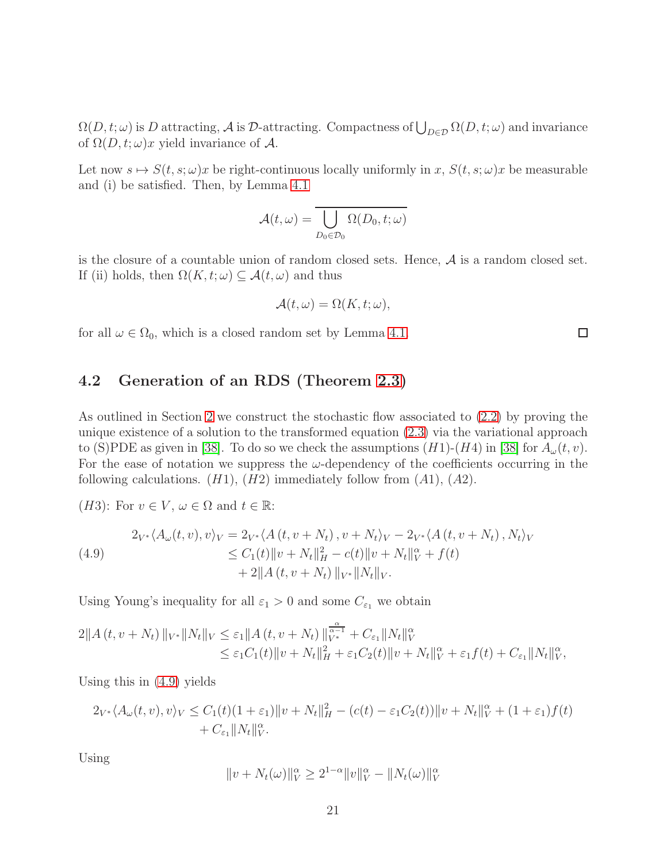$\Omega(D, t; \omega)$  is D attracting, A is D-attracting. Compactness of  $\bigcup_{D \in \mathcal{D}} \Omega(D, t; \omega)$  and invariance of  $\Omega(D, t; \omega)x$  yield invariance of A.

Let now  $s \mapsto S(t, s; \omega)x$  be right-continuous locally uniformly in x,  $S(t, s; \omega)x$  be measurable and (i) be satisfied. Then, by Lemma [4.1](#page-18-0)

$$
\mathcal{A}(t,\omega)=\overline{\bigcup_{D_0\in\mathcal{D}_0}\Omega(D_0,t;\omega)}
$$

is the closure of a countable union of random closed sets. Hence,  $A$  is a random closed set. If (ii) holds, then  $\Omega(K, t; \omega) \subseteq \mathcal{A}(t, \omega)$  and thus

$$
\mathcal{A}(t,\omega) = \Omega(K,t;\omega),
$$

 $\Box$ 

for all  $\omega \in \Omega_0$ , which is a closed random set by Lemma [4.1.](#page-18-0)

### 4.2 Generation of an RDS (Theorem [2.3\)](#page-10-1)

As outlined in Section [2](#page-7-0) we construct the stochastic flow associated to [\(2.2\)](#page-8-0) by proving the unique existence of a solution to the transformed equation [\(2.3\)](#page-9-1) via the variational approach to (S)PDE as given in [\[38\]](#page-38-7). To do so we check the assumptions  $(H1)-(H4)$  in [38] for  $A_{\omega}(t, v)$ . For the ease of notation we suppress the  $\omega$ -dependency of the coefficients occurring in the following calculations.  $(H1)$ ,  $(H2)$  immediately follow from  $(A1)$ ,  $(A2)$ .

(*H3*): For  $v \in V$ ,  $\omega \in \Omega$  and  $t \in \mathbb{R}$ :

<span id="page-20-0"></span>(4.9)  
\n
$$
2_{V^*}\langle A_{\omega}(t, v), v\rangle_V = 2_{V^*}\langle A(t, v + N_t), v + N_t\rangle_V - 2_{V^*}\langle A(t, v + N_t), N_t\rangle_V \n\leq C_1(t)\|v + N_t\|_H^2 - c(t)\|v + N_t\|_V^\alpha + f(t) \n+ 2\|A(t, v + N_t)\|_{V^*}\|N_t\|_V.
$$

Using Young's inequality for all  $\varepsilon_1 > 0$  and some  $C_{\varepsilon_1}$  we obtain

$$
2\|A(t, v+N_t)\|_{V^*} \|N_t\|_{V} \leq \varepsilon_1 \|A(t, v+N_t)\|_{V^*}^{\frac{\alpha}{\alpha-1}} + C_{\varepsilon_1} \|N_t\|_{V}^{\alpha}
$$
  

$$
\leq \varepsilon_1 C_1(t) \|v+N_t\|_{H}^2 + \varepsilon_1 C_2(t) \|v+N_t\|_{V}^{\alpha} + \varepsilon_1 f(t) + C_{\varepsilon_1} \|N_t\|_{V}^{\alpha},
$$

Using this in [\(4.9\)](#page-20-0) yields

$$
2_{V^*} \langle A_{\omega}(t, v), v \rangle_V \le C_1(t)(1 + \varepsilon_1) \|v + N_t\|_H^2 - (c(t) - \varepsilon_1 C_2(t)) \|v + N_t\|_V^\alpha + (1 + \varepsilon_1) f(t) + C_{\varepsilon_1} \|N_t\|_V^\alpha.
$$

Using

$$
||v + N_t(\omega)||_V^{\alpha} \ge 2^{1-\alpha} ||v||_V^{\alpha} - ||N_t(\omega)||_V^{\alpha}
$$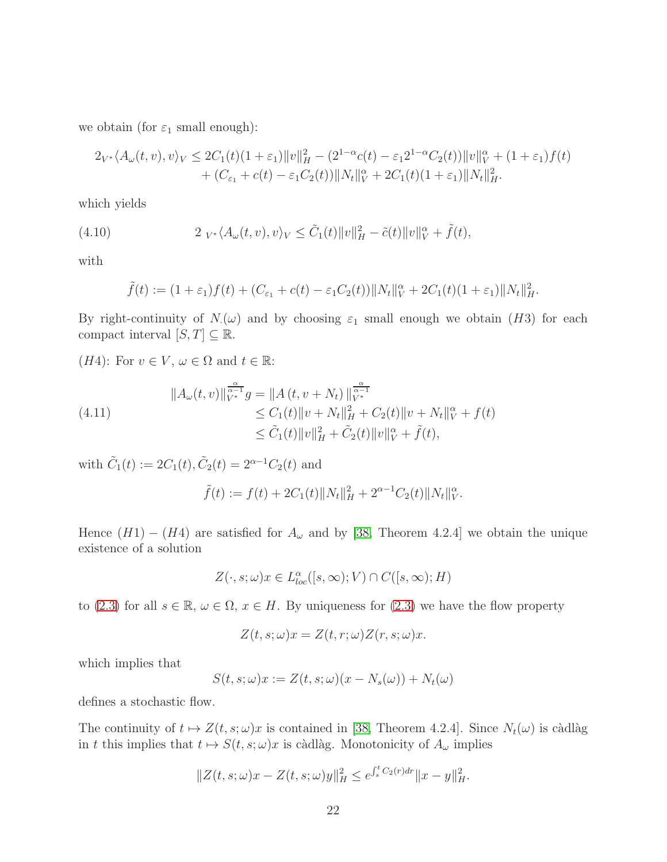we obtain (for  $\varepsilon_1$  small enough):

$$
2_{V^*}\langle A_{\omega}(t,v),v\rangle_V \le 2C_1(t)(1+\varepsilon_1) \|v\|_H^2 - (2^{1-\alpha}c(t) - \varepsilon_1 2^{1-\alpha}C_2(t)) \|v\|_V^{\alpha} + (1+\varepsilon_1)f(t) + (C_{\varepsilon_1} + c(t) - \varepsilon_1 C_2(t)) \|N_t\|_V^{\alpha} + 2C_1(t)(1+\varepsilon_1) \|N_t\|_H^2.
$$

which yields

<span id="page-21-0"></span>(4.10) 
$$
2 V_{V^*} \langle A_{\omega}(t, v), v \rangle_V \leq \tilde{C}_1(t) \|v\|_H^2 - \tilde{c}(t) \|v\|_V^{\alpha} + \tilde{f}(t),
$$

with

$$
\tilde{f}(t) := (1+\varepsilon_1)f(t) + (C_{\varepsilon_1} + c(t) - \varepsilon_1 C_2(t))\|N_t\|_V^{\alpha} + 2C_1(t)(1+\varepsilon_1)\|N_t\|_H^2.
$$

By right-continuity of  $N(\omega)$  and by choosing  $\varepsilon_1$  small enough we obtain (H3) for each compact interval  $[S, T] \subseteq \mathbb{R}$ .

(*H*4): For  $v \in V$ ,  $\omega \in \Omega$  and  $t \in \mathbb{R}$ :

$$
\|A_{\omega}(t,v)\|_{V^*}^{\frac{\alpha}{\alpha-1}}g = \|A(t,v+N_t)\|_{V^*}^{\frac{\alpha}{\alpha-1}} \leq C_1(t)\|v+N_t\|_{H}^2 + C_2(t)\|v+N_t\|_{V}^{\alpha} + f(t) \leq \tilde{C}_1(t)\|v\|_{H}^2 + \tilde{C}_2(t)\|v\|_{V}^{\alpha} + \tilde{f}(t),
$$

with  $\tilde{C}_1(t) := 2C_1(t), \tilde{C}_2(t) = 2^{\alpha - 1}C_2(t)$  and

$$
\tilde{f}(t) := f(t) + 2C_1(t) \|N_t\|_H^2 + 2^{\alpha - 1} C_2(t) \|N_t\|_V^{\alpha}.
$$

Hence  $(H1) - (H4)$  are satisfied for  $A_{\omega}$  and by [\[38,](#page-38-7) Theorem 4.2.4] we obtain the unique existence of a solution

$$
Z(\cdot, s; \omega)x \in L_{loc}^{\alpha}([s, \infty); V) \cap C([s, \infty); H)
$$

to [\(2.3\)](#page-9-1) for all  $s \in \mathbb{R}$ ,  $\omega \in \Omega$ ,  $x \in H$ . By uniqueness for (2.3) we have the flow property

$$
Z(t, s; \omega)x = Z(t, r; \omega)Z(r, s; \omega)x.
$$

which implies that

$$
S(t, s; \omega)x := Z(t, s; \omega)(x - N_s(\omega)) + N_t(\omega)
$$

defines a stochastic flow.

The continuity of  $t \mapsto Z(t, s; \omega)x$  is contained in [\[38,](#page-38-7) Theorem 4.2.4]. Since  $N_t(\omega)$  is càdlàg in t this implies that  $t \mapsto S(t, s; \omega)x$  is càdlàg. Monotonicity of  $A_{\omega}$  implies

$$
||Z(t, s; \omega)x - Z(t, s; \omega)y||_H^2 \le e^{\int_s^t C_2(r) dr} ||x - y||_H^2.
$$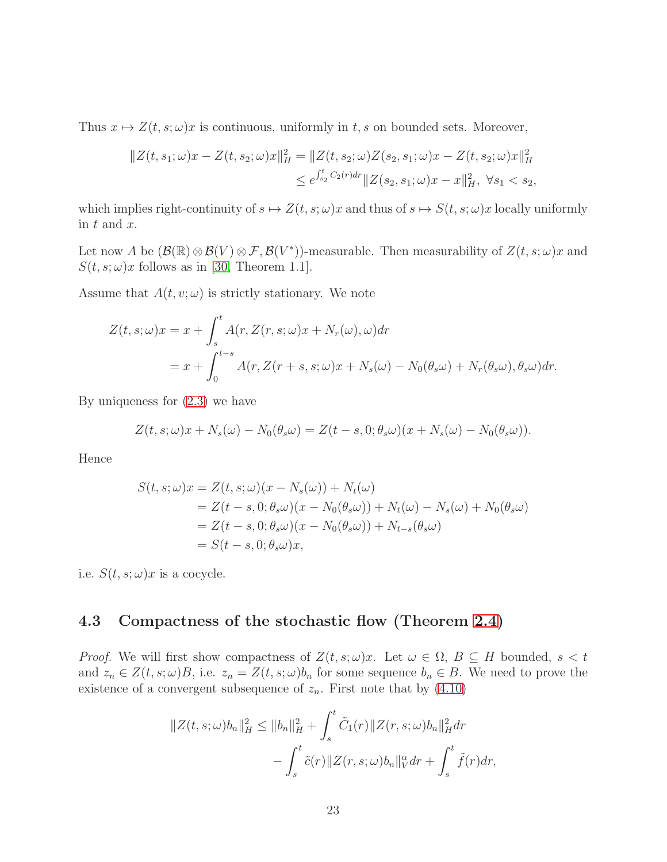Thus  $x \mapsto Z(t, s; \omega)x$  is continuous, uniformly in t, s on bounded sets. Moreover,

$$
||Z(t, s_1; \omega)x - Z(t, s_2; \omega)x||_H^2 = ||Z(t, s_2; \omega)Z(s_2, s_1; \omega)x - Z(t, s_2; \omega)x||_H^2
$$
  

$$
\leq e^{\int_{s_2}^t C_2(r) dr} ||Z(s_2, s_1; \omega)x - x||_H^2, \ \forall s_1 < s_2,
$$

which implies right-continuity of  $s \mapsto Z(t, s; \omega)x$  and thus of  $s \mapsto S(t, s; \omega)x$  locally uniformly in  $t$  and  $x$ .

Let now A be  $(\mathcal{B}(\mathbb{R})\otimes\mathcal{B}(V)\otimes\mathcal{F},\mathcal{B}(V^*))$ -measurable. Then measurability of  $Z(t,s;\omega)x$  and  $S(t, s; \omega)x$  follows as in [\[30,](#page-37-2) Theorem 1.1].

Assume that  $A(t, v; \omega)$  is strictly stationary. We note

$$
Z(t, s; \omega)x = x + \int_{s}^{t} A(r, Z(r, s; \omega)x + N_r(\omega), \omega) dr
$$
  
=  $x + \int_{0}^{t-s} A(r, Z(r+s, s; \omega)x + N_s(\omega) - N_0(\theta_s \omega) + N_r(\theta_s \omega), \theta_s \omega) dr.$ 

By uniqueness for [\(2.3\)](#page-9-1) we have

$$
Z(t,s;\omega)x + N_s(\omega) - N_0(\theta_s\omega) = Z(t-s,0;\theta_s\omega)(x + N_s(\omega) - N_0(\theta_s\omega)).
$$

Hence

$$
S(t, s; \omega)x = Z(t, s; \omega)(x - N_s(\omega)) + N_t(\omega)
$$
  
= Z(t - s, 0; \theta\_s \omega)(x - N\_0(\theta\_s \omega)) + N\_t(\omega) - N\_s(\omega) + N\_0(\theta\_s \omega)  
= Z(t - s, 0; \theta\_s \omega)(x - N\_0(\theta\_s \omega)) + N\_{t-s}(\theta\_s \omega)  
= S(t - s, 0; \theta\_s \omega)x,

i.e.  $S(t, s; \omega)x$  is a cocycle.

### 4.3 Compactness of the stochastic flow (Theorem [2.4\)](#page-10-2)

*Proof.* We will first show compactness of  $Z(t, s; \omega)x$ . Let  $\omega \in \Omega$ ,  $B \subseteq H$  bounded,  $s < t$ and  $z_n \in Z(t, s; \omega)B$ , i.e.  $z_n = Z(t, s; \omega)b_n$  for some sequence  $b_n \in B$ . We need to prove the existence of a convergent subsequence of  $z_n$ . First note that by  $(4.10)$ 

$$
||Z(t,s;\omega)b_n||_H^2 \le ||b_n||_H^2 + \int_s^t \tilde{C}_1(r)||Z(r,s;\omega)b_n||_H^2 dr - \int_s^t \tilde{c}(r)||Z(r,s;\omega)b_n||_V^{\alpha} dr + \int_s^t \tilde{f}(r) dr,
$$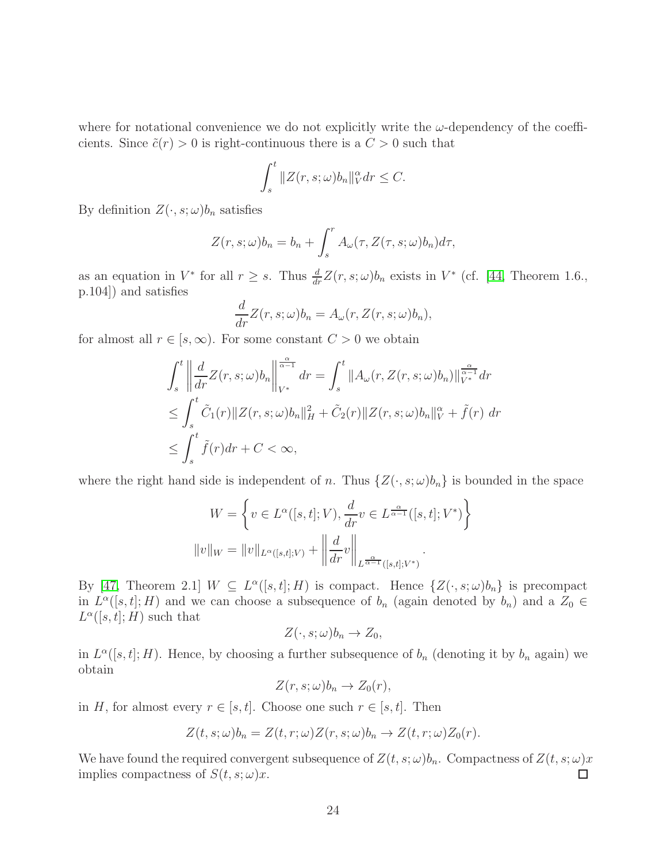where for notational convenience we do not explicitly write the  $\omega$ -dependency of the coefficients. Since  $\tilde{c}(r) > 0$  is right-continuous there is a  $C > 0$  such that

$$
\int_{s}^{t} \|Z(r,s;\omega)b_n\|_{V}^{\alpha} dr \leq C.
$$

By definition  $Z(\cdot, s; \omega) b_n$  satisfies

$$
Z(r, s; \omega)b_n = b_n + \int_s^r A_\omega(\tau, Z(\tau, s; \omega)b_n)d\tau,
$$

as an equation in  $V^*$  for all  $r \geq s$ . Thus  $\frac{d}{dr}Z(r, s; \omega)b_n$  exists in  $V^*$  (cf. [\[44,](#page-38-10) Theorem 1.6., p.104]) and satisfies

$$
\frac{d}{dr}Z(r,s;\omega)b_n = A_{\omega}(r,Z(r,s;\omega)b_n),
$$

for almost all  $r \in [s, \infty)$ . For some constant  $C > 0$  we obtain

$$
\int_{s}^{t} \left\| \frac{d}{dr} Z(r, s; \omega) b_n \right\|_{V^*}^{\frac{\alpha}{\alpha - 1}} dr = \int_{s}^{t} \|A_{\omega}(r, Z(r, s; \omega) b_n)\|_{V^*}^{\frac{\alpha}{\alpha - 1}} dr
$$
  
\n
$$
\leq \int_{s}^{t} \tilde{C}_1(r) \|Z(r, s; \omega) b_n\|_{H}^{2} + \tilde{C}_2(r) \|Z(r, s; \omega) b_n\|_{V}^{\alpha} + \tilde{f}(r) dr
$$
  
\n
$$
\leq \int_{s}^{t} \tilde{f}(r) dr + C < \infty,
$$

where the right hand side is independent of n. Thus  $\{Z(\cdot, s; \omega)b_n\}$  is bounded in the space

$$
W = \left\{ v \in L^{\alpha}([s,t];V), \frac{d}{dr}v \in L^{\frac{\alpha}{\alpha-1}}([s,t];V^*) \right\}
$$

$$
||v||_W = ||v||_{L^{\alpha}([s,t];V)} + \left\| \frac{d}{dr}v \right\|_{L^{\frac{\alpha}{\alpha-1}}([s,t];V^*)}.
$$

By [\[47,](#page-38-11) Theorem 2.1]  $W \subseteq L^{\alpha}([s,t];H)$  is compact. Hence  $\{Z(\cdot,s;\omega)b_n\}$  is precompact in  $L^{\alpha}([s,t];H)$  and we can choose a subsequence of  $b_n$  (again denoted by  $b_n$ ) and a  $Z_0 \in$  $L^{\alpha}([s,t];H)$  such that

$$
Z(\cdot,s;\omega)b_n\to Z_0,
$$

in  $L^{\alpha}([s,t];H)$ . Hence, by choosing a further subsequence of  $b_n$  (denoting it by  $b_n$  again) we obtain

$$
Z(r,s;\omega)b_n \to Z_0(r),
$$

in H, for almost every  $r \in [s, t]$ . Choose one such  $r \in [s, t]$ . Then

$$
Z(t, s; \omega)b_n = Z(t, r; \omega)Z(r, s; \omega)b_n \to Z(t, r; \omega)Z_0(r).
$$

We have found the required convergent subsequence of  $Z(t, s; \omega)b_n$ . Compactness of  $Z(t, s; \omega)x$ implies compactness of  $S(t, s; \omega)x$ . П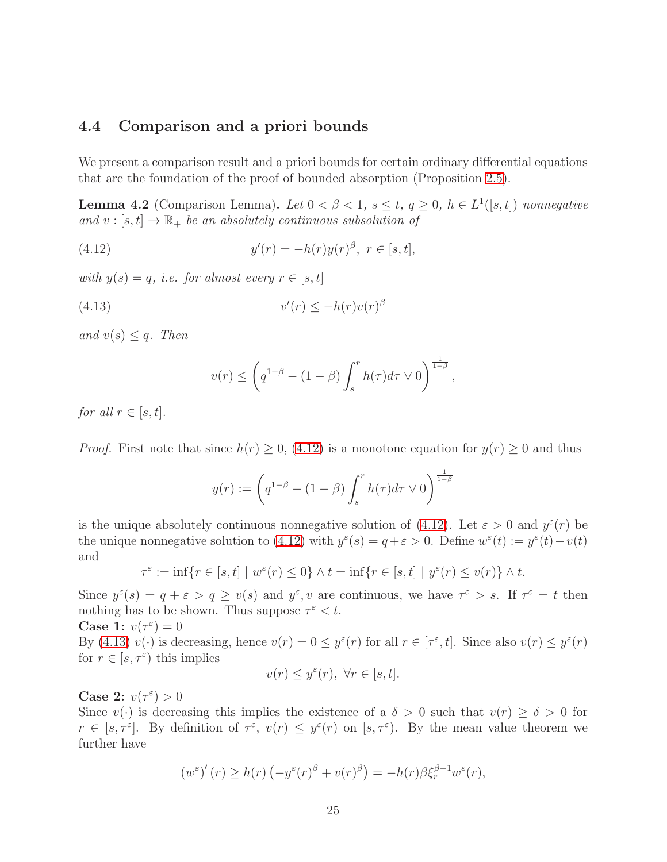#### <span id="page-24-0"></span>4.4 Comparison and a priori bounds

We present a comparison result and a priori bounds for certain ordinary differential equations that are the foundation of the proof of bounded absorption (Proposition [2.5\)](#page-10-3).

<span id="page-24-3"></span>**Lemma 4.2** (Comparison Lemma). Let  $0 < \beta < 1$ ,  $s \le t$ ,  $q \ge 0$ ,  $h \in L^1([s,t])$  nonnegative and  $v : [s, t] \to \mathbb{R}_+$  be an absolutely continuous subsolution of

<span id="page-24-1"></span>(4.12) 
$$
y'(r) = -h(r)y(r)^{\beta}, \ r \in [s, t],
$$

with  $y(s) = q$ , i.e. for almost every  $r \in [s, t]$ 

<span id="page-24-2"></span>(4.13) 
$$
v'(r) \le -h(r)v(r)^{\beta}
$$

and  $v(s) \leq q$ . Then

$$
v(r) \le \left(q^{1-\beta} - (1-\beta) \int_s^r h(\tau) d\tau \vee 0\right)^{\frac{1}{1-\beta}},
$$

for all  $r \in [s, t]$ .

*Proof.* First note that since  $h(r) \geq 0$ , [\(4.12\)](#page-24-1) is a monotone equation for  $y(r) \geq 0$  and thus

$$
y(r) := \left(q^{1-\beta} - (1-\beta) \int_s^r h(\tau) d\tau \vee 0\right)^{\frac{1}{1-\beta}}
$$

is the unique absolutely continuous nonnegative solution of [\(4.12\)](#page-24-1). Let  $\varepsilon > 0$  and  $y^{\varepsilon}(r)$  be the unique nonnegative solution to [\(4.12\)](#page-24-1) with  $y^{\varepsilon}(s) = q + \varepsilon > 0$ . Define  $w^{\varepsilon}(t) := y^{\varepsilon}(t) - v(t)$ and

$$
\tau^{\varepsilon} := \inf \{ r \in [s, t] \mid w^{\varepsilon}(r) \le 0 \} \wedge t = \inf \{ r \in [s, t] \mid y^{\varepsilon}(r) \le v(r) \} \wedge t.
$$

Since  $y^{\varepsilon}(s) = q + \varepsilon > q \ge v(s)$  and  $y^{\varepsilon}, v$  are continuous, we have  $\tau^{\varepsilon} > s$ . If  $\tau^{\varepsilon} = t$  then nothing has to be shown. Thus suppose  $\tau^{\varepsilon} < t$ .

Case 1:  $v(\tau^{\varepsilon}) = 0$ 

By [\(4.13\)](#page-24-2)  $v(\cdot)$  is decreasing, hence  $v(r) = 0 \le y^{\varepsilon}(r)$  for all  $r \in [\tau^{\varepsilon}, t]$ . Since also  $v(r) \le y^{\varepsilon}(r)$ for  $r \in [s, \tau^{\varepsilon})$  this implies

$$
v(r) \le y^{\varepsilon}(r), \ \forall r \in [s, t].
$$

Case 2:  $v(\tau^{\varepsilon}) > 0$ 

Since  $v(\cdot)$  is decreasing this implies the existence of a  $\delta > 0$  such that  $v(r) \ge \delta > 0$  for  $r \in [s, \tau^{\varepsilon}]$ . By definition of  $\tau^{\varepsilon}$ ,  $v(r) \leq y^{\varepsilon}(r)$  on  $[s, \tau^{\varepsilon})$ . By the mean value theorem we further have

$$
\left(w^{\varepsilon}\right)'(r) \ge h(r)\left(-y^{\varepsilon}(r)^{\beta} + v(r)^{\beta}\right) = -h(r)\beta\xi_r^{\beta-1}w^{\varepsilon}(r),
$$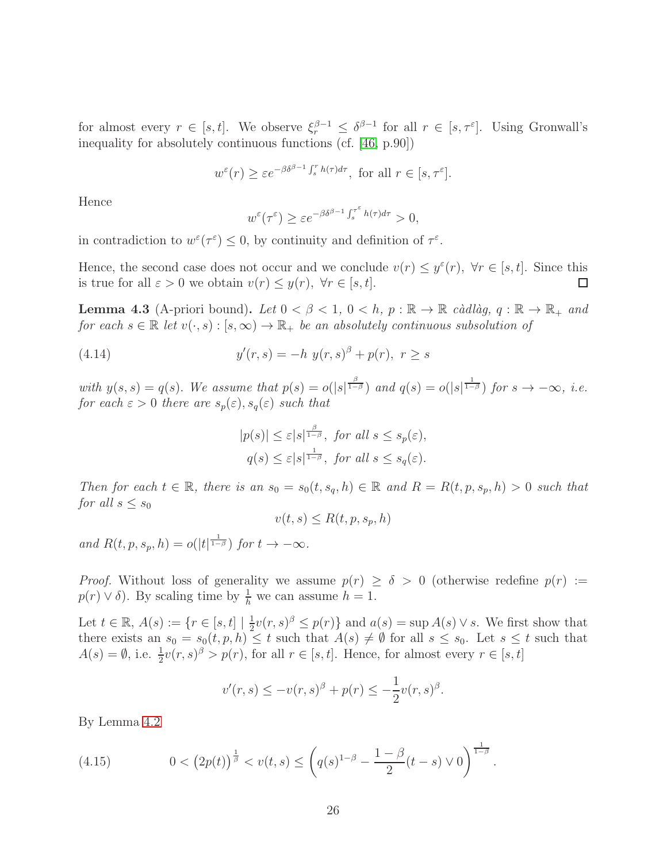for almost every  $r \in [s, t]$ . We observe  $\xi_r^{\beta-1} \leq \delta^{\beta-1}$  for all  $r \in [s, \tau^{\varepsilon}]$ . Using Gronwall's inequality for absolutely continuous functions (cf. [\[46,](#page-38-12) p.90])

$$
w^{\varepsilon}(r) \ge \varepsilon e^{-\beta \delta^{\beta-1} \int_s^r h(\tau) d\tau}
$$
, for all  $r \in [s, \tau^{\varepsilon}].$ 

Hence

$$
w^{\varepsilon}(\tau^{\varepsilon}) \ge \varepsilon e^{-\beta \delta^{\beta - 1} \int_{s}^{\tau^{\varepsilon}} h(\tau) d\tau} > 0,
$$

in contradiction to  $w^{\varepsilon}(\tau^{\varepsilon}) \leq 0$ , by continuity and definition of  $\tau^{\varepsilon}$ .

Hence, the second case does not occur and we conclude  $v(r) \leq y^{\varepsilon}(r)$ ,  $\forall r \in [s, t]$ . Since this is true for all  $\varepsilon > 0$  we obtain  $v(r) \leq y(r)$ ,  $\forall r \in [s, t]$ .

<span id="page-25-1"></span>**Lemma 4.3** (A-priori bound). Let  $0 < \beta < 1$ ,  $0 < h$ ,  $p : \mathbb{R} \to \mathbb{R}$  càdlàg,  $q : \mathbb{R} \to \mathbb{R}_+$  and for each  $s \in \mathbb{R}$  let  $v(\cdot, s) : [s, \infty) \to \mathbb{R}_+$  be an absolutely continuous subsolution of

(4.14) 
$$
y'(r,s) = -h \ y(r,s)^{\beta} + p(r), \ r \ge s
$$

with  $y(s, s) = q(s)$ . We assume that  $p(s) = o(|s|^{\frac{\beta}{1-\beta}})$  and  $q(s) = o(|s|^{\frac{1}{1-\beta}})$  for  $s \to -\infty$ , i.e. for each  $\varepsilon > 0$  there are  $s_p(\varepsilon)$ ,  $s_q(\varepsilon)$  such that

$$
|p(s)| \leq \varepsilon |s|^{\frac{\beta}{1-\beta}}, \text{ for all } s \leq s_p(\varepsilon),
$$
  

$$
q(s) \leq \varepsilon |s|^{\frac{1}{1-\beta}}, \text{ for all } s \leq s_q(\varepsilon).
$$

Then for each  $t \in \mathbb{R}$ , there is an  $s_0 = s_0(t, s_q, h) \in \mathbb{R}$  and  $R = R(t, p, s_p, h) > 0$  such that for all  $s \leq s_0$ 

$$
v(t,s) \le R(t,p,s_p,h)
$$

and  $R(t, p, s_p, h) = o(|t|^{\frac{1}{1-\beta}})$  for  $t \to -\infty$ .

*Proof.* Without loss of generality we assume  $p(r) \ge \delta > 0$  (otherwise redefine  $p(r) :=$  $p(r) \vee \delta$ . By scaling time by  $\frac{1}{h}$  we can assume  $h = 1$ .

Let  $t \in \mathbb{R}$ ,  $A(s) := \{r \in [s, t] \mid \frac{1}{2}\}$  $\frac{1}{2}v(r,s)^{\beta} \leq p(r)$  and  $a(s) = \sup A(s) \vee s$ . We first show that there exists an  $s_0 = s_0(t, p, h) \leq t$  such that  $A(s) \neq \emptyset$  for all  $s \leq s_0$ . Let  $s \leq t$  such that  $A(s) = \emptyset$ , i.e.  $\frac{1}{2}v(r,s)^{\beta} > p(r)$ , for all  $r \in [s,t]$ . Hence, for almost every  $r \in [s,t]$ 

$$
v'(r, s) \le -v(r, s)^{\beta} + p(r) \le -\frac{1}{2}v(r, s)^{\beta}.
$$

By Lemma [4.2](#page-24-3)

<span id="page-25-0"></span>(4.15) 
$$
0 < (2p(t))^{\frac{1}{\beta}} < v(t,s) \leq \left( q(s)^{1-\beta} - \frac{1-\beta}{2}(t-s) \vee 0 \right)^{\frac{1}{1-\beta}}.
$$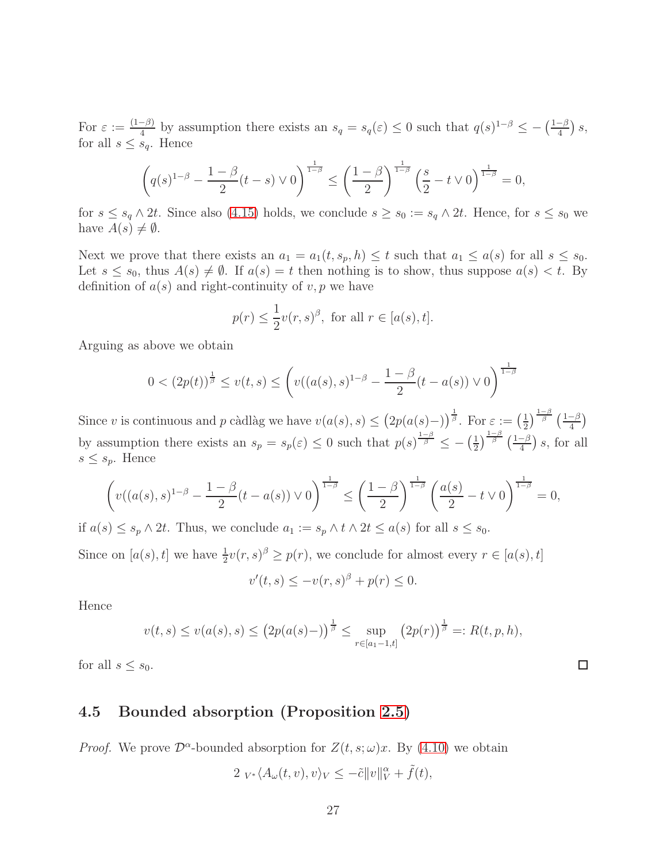For  $\varepsilon := \frac{(1-\beta)}{4}$  by assumption there exists an  $s_q = s_q(\varepsilon) \leq 0$  such that  $q(s)^{1-\beta} \leq -\left(\frac{1-\beta}{4}\right)s$ , for all  $s \leq s_q$ . Hence

$$
\left(q(s)^{1-\beta} - \frac{1-\beta}{2}(t-s) \vee 0\right)^{\frac{1}{1-\beta}} \le \left(\frac{1-\beta}{2}\right)^{\frac{1}{1-\beta}} \left(\frac{s}{2} - t \vee 0\right)^{\frac{1}{1-\beta}} = 0,
$$

for  $s \leq s_q \wedge 2t$ . Since also [\(4.15\)](#page-25-0) holds, we conclude  $s \geq s_0 := s_q \wedge 2t$ . Hence, for  $s \leq s_0$  we have  $A(s) \neq \emptyset$ .

Next we prove that there exists an  $a_1 = a_1(t, s_p, h) \le t$  such that  $a_1 \le a(s)$  for all  $s \le s_0$ . Let  $s \leq s_0$ , thus  $A(s) \neq \emptyset$ . If  $a(s) = t$  then nothing is to show, thus suppose  $a(s) < t$ . By definition of  $a(s)$  and right-continuity of  $v, p$  we have

$$
p(r) \le \frac{1}{2}v(r,s)^{\beta}, \text{ for all } r \in [a(s),t].
$$

Arguing as above we obtain

$$
0 < (2p(t))^{\frac{1}{\beta}} \le v(t,s) \le \left(v((a(s),s)^{1-\beta} - \frac{1-\beta}{2}(t-a(s)) \vee 0\right)^{\frac{1}{1-\beta}}
$$

Since v is continuous and p càdlàg we have  $v(a(s), s) \leq (2p(a(s)-))^{\frac{1}{\beta}}$ . For  $\varepsilon := (\frac{1}{2})^{\frac{1}{\beta}}$  $\frac{1}{2}$ ) $\frac{1-\beta}{\beta}$   $\left(\frac{1-\beta}{4}\right)$ by assumption there exists an  $s_p = s_p(\varepsilon) \leq 0$  such that  $p(s)^{\frac{1-\beta}{\beta}} \leq -(\frac{1}{2})$  $\frac{1}{2}$ ) $\frac{1-\beta}{\beta}$  ( $\frac{1-\beta}{4}$ ) s, for all  $s \leq s_p$ . Hence

$$
\left(v((a(s),s)^{1-\beta}-\frac{1-\beta}{2}(t-a(s))\vee 0\right)^{\frac{1}{1-\beta}}\leq \left(\frac{1-\beta}{2}\right)^{\frac{1}{1-\beta}}\left(\frac{a(s)}{2}-t\vee 0\right)^{\frac{1}{1-\beta}}=0,
$$

if  $a(s) \leq s_p \wedge 2t$ . Thus, we conclude  $a_1 := s_p \wedge t \wedge 2t \leq a(s)$  for all  $s \leq s_0$ .

Since on  $[a(s), t]$  we have  $\frac{1}{2}v(r, s)^{\beta} \ge p(r)$ , we conclude for almost every  $r \in [a(s), t]$ 

$$
v'(t,s) \le -v(r,s)^\beta + p(r) \le 0.
$$

Hence

$$
v(t,s) \le v(a(s),s) \le (2p(a(s)-))^{\frac{1}{\beta}} \le \sup_{r \in [a_1-1,t]} (2p(r))^{\frac{1}{\beta}} =: R(t,p,h),
$$

 $\Box$ 

for all  $s \leq s_0$ .

### 4.5 Bounded absorption (Proposition [2.5\)](#page-10-3)

*Proof.* We prove  $\mathcal{D}^{\alpha}$ -bounded absorption for  $Z(t, s; \omega)x$ . By [\(4.10\)](#page-21-0) we obtain

$$
2 V_{*} \langle A_{\omega}(t, v), v \rangle_{V} \leq -\tilde{c} ||v||_{V}^{\alpha} + \tilde{f}(t),
$$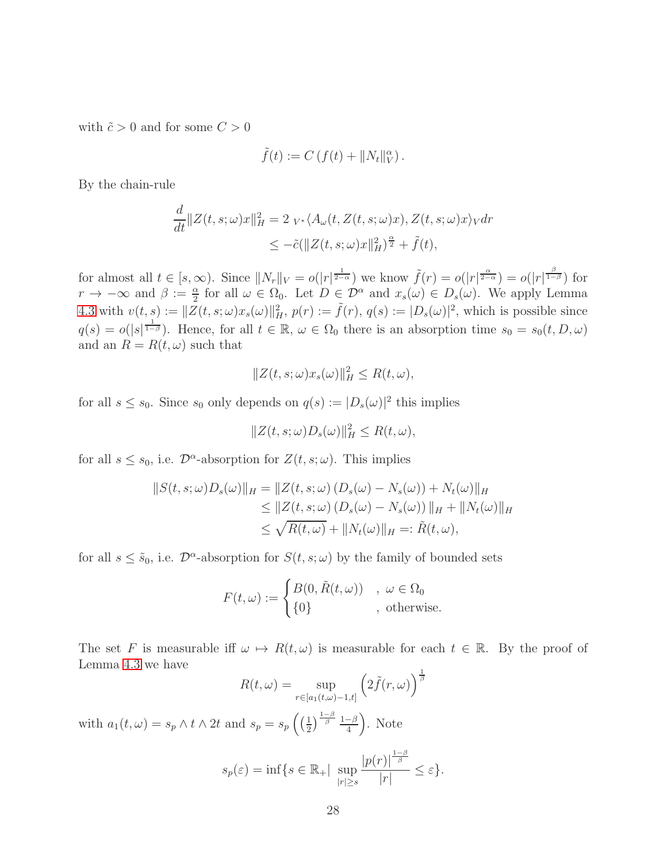with  $\tilde{c} > 0$  and for some  $C > 0$ 

$$
\tilde{f}(t) := C(f(t) + ||N_t||_V^{\alpha}).
$$

By the chain-rule

$$
\frac{d}{dt} ||Z(t, s; \omega)x||_H^2 = 2_{V^*} \langle A_{\omega}(t, Z(t, s; \omega)x), Z(t, s; \omega)x \rangle_V dr
$$
  

$$
\leq -\tilde{c} (||Z(t, s; \omega)x||_H^2)^\frac{\alpha}{2} + \tilde{f}(t),
$$

for almost all  $t \in [s, \infty)$ . Since  $||N_r||_V = o(|r|^{\frac{1}{2-\alpha}})$  we know  $\tilde{f}(r) = o(|r|^{\frac{\alpha}{2-\alpha}}) = o(|r|^{\frac{\beta}{1-\beta}})$  for  $r \to -\infty$  and  $\beta := \frac{\alpha}{2}$  for all  $\omega \in \Omega_0$ . Let  $D \in \mathcal{D}^{\alpha}$  and  $x_s(\omega) \in D_s(\omega)$ . We apply Lemma [4.3](#page-25-1) with  $v(t, s) := ||\overline{Z}(t, s; \omega)x_s(\omega)||_H^2$ ,  $p(r) := \tilde{f}(r)$ ,  $q(s) := |D_s(\omega)|^2$ , which is possible since  $q(s) = o(|s|^{\frac{1}{1-\beta}})$ . Hence, for all  $t \in \mathbb{R}$ ,  $\omega \in \Omega_0$  there is an absorption time  $s_0 = s_0(t, D, \omega)$ and an  $R = R(t, \omega)$  such that

$$
||Z(t, s; \omega)x_s(\omega)||_H^2 \le R(t, \omega),
$$

for all  $s \leq s_0$ . Since  $s_0$  only depends on  $q(s) := |D_s(\omega)|^2$  this implies

$$
||Z(t, s; \omega)D_s(\omega)||_H^2 \le R(t, \omega),
$$

for all  $s \leq s_0$ , i.e.  $\mathcal{D}^{\alpha}$ -absorption for  $Z(t, s; \omega)$ . This implies

$$
||S(t, s; \omega)D_s(\omega)||_H = ||Z(t, s; \omega) (D_s(\omega) - N_s(\omega)) + N_t(\omega)||_H
$$
  
\n
$$
\leq ||Z(t, s; \omega) (D_s(\omega) - N_s(\omega))||_H + ||N_t(\omega)||_H
$$
  
\n
$$
\leq \sqrt{R(t, \omega)} + ||N_t(\omega)||_H =: \tilde{R}(t, \omega),
$$

for all  $s \leq \tilde{s}_0$ , i.e.  $\mathcal{D}^{\alpha}$ -absorption for  $S(t, s; \omega)$  by the family of bounded sets

$$
F(t,\omega) := \begin{cases} B(0,\tilde{R}(t,\omega)) & , \omega \in \Omega_0 \\ \{0\} & , \text{ otherwise.} \end{cases}
$$

The set F is measurable iff  $\omega \mapsto R(t, \omega)$  is measurable for each  $t \in \mathbb{R}$ . By the proof of Lemma [4.3](#page-25-1) we have

$$
R(t,\omega) = \sup_{r \in [a_1(t,\omega)-1,t]} \left(2\tilde{f}(r,\omega)\right)^{\frac{1}{\beta}}
$$

with  $a_1(t, \omega) = s_p \wedge t \wedge 2t$  and  $s_p = s_p \left( \left( \frac{1}{2} \right)$  $\frac{1}{2}$  $\left(\frac{1-\beta}{\beta}\right)$   $\frac{1-\beta}{4}$   $\left(\frac{1-\beta}{4}\right)$ . Note

$$
s_p(\varepsilon) = \inf\{s \in \mathbb{R}_+| \sup_{|r| \ge s} \frac{|p(r)|^{\frac{1-\beta}{\beta}}}{|r|} \le \varepsilon\}.
$$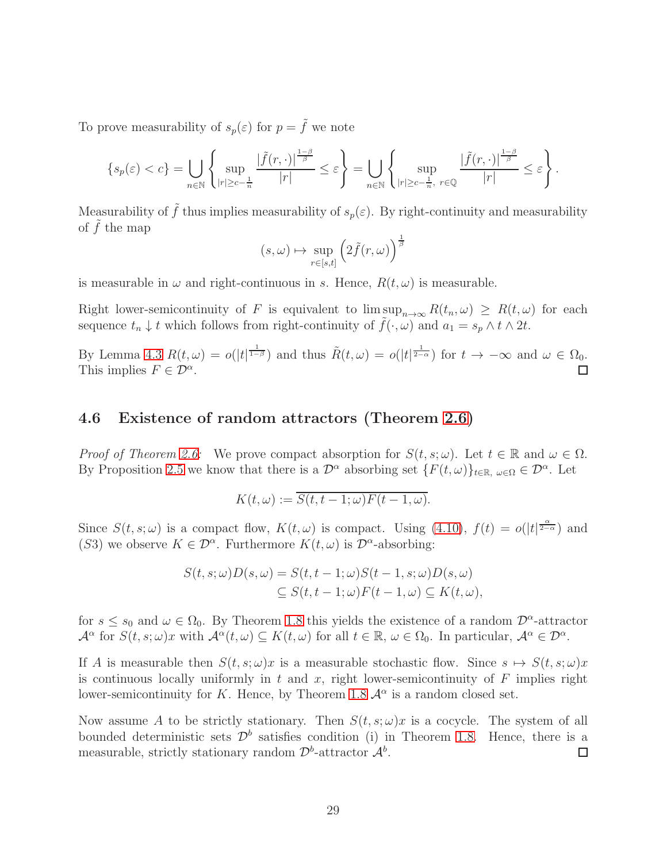To prove measurability of  $s_p(\varepsilon)$  for  $p = \tilde{f}$  we note

$$
\{s_p(\varepsilon)
$$

Measurability of  $\tilde{f}$  thus implies measurability of  $s_p(\varepsilon)$ . By right-continuity and measurability of  $f$  the map

$$
(s,\omega) \mapsto \sup_{r \in [s,t]} \left( 2\tilde{f}(r,\omega) \right)^{\frac{1}{\beta}}
$$

is measurable in  $\omega$  and right-continuous in s. Hence,  $R(t, \omega)$  is measurable.

Right lower-semicontinuity of F is equivalent to  $\limsup_{n\to\infty} R(t_n,\omega) \geq R(t,\omega)$  for each sequence  $t_n \downarrow t$  which follows from right-continuity of  $f(\cdot, \omega)$  and  $a_1 = s_p \wedge t \wedge 2t$ .

By Lemma [4.3](#page-25-1)  $R(t,\omega) = o(|t|^{\frac{1}{1-\beta}})$  and thus  $\tilde{R}(t,\omega) = o(|t|^{\frac{1}{2-\alpha}})$  for  $t \to -\infty$  and  $\omega \in \Omega_0$ . This implies  $F \in \mathcal{D}^{\alpha}$ .

#### 4.6 Existence of random attractors (Theorem [2.6\)](#page-11-0)

*Proof of Theorem [2.6:](#page-11-0)* We prove compact absorption for  $S(t, s; \omega)$ . Let  $t \in \mathbb{R}$  and  $\omega \in \Omega$ . By Proposition [2.5](#page-10-3) we know that there is a  $\mathcal{D}^{\alpha}$  absorbing set  $\{F(t,\omega)\}_{t\in\mathbb{R},\omega\in\Omega}\in\mathcal{D}^{\alpha}$ . Let

$$
K(t,\omega) := \overline{S(t,t-1;\omega)F(t-1,\omega)}.
$$

Since  $S(t, s; \omega)$  is a compact flow,  $K(t, \omega)$  is compact. Using [\(4.10\)](#page-21-0),  $f(t) = o(|t|^{\frac{\alpha}{2-\alpha}})$  and (S3) we observe  $K \in \mathcal{D}^{\alpha}$ . Furthermore  $K(t, \omega)$  is  $\mathcal{D}^{\alpha}$ -absorbing:

$$
S(t, s; \omega)D(s, \omega) = S(t, t - 1; \omega)S(t - 1, s; \omega)D(s, \omega)
$$
  
\n
$$
\subseteq S(t, t - 1; \omega)F(t - 1, \omega) \subseteq K(t, \omega),
$$

for  $s \leq s_0$  and  $\omega \in \Omega_0$ . By Theorem [1.8](#page-6-0) this yields the existence of a random  $\mathcal{D}^{\alpha}$ -attractor  $\mathcal{A}^{\alpha}$  for  $S(t, s; \omega)x$  with  $\mathcal{A}^{\alpha}(t, \omega) \subseteq K(t, \omega)$  for all  $t \in \mathbb{R}$ ,  $\omega \in \Omega_0$ . In particular,  $\mathcal{A}^{\alpha} \in \mathcal{D}^{\alpha}$ .

If A is measurable then  $S(t, s; \omega)x$  is a measurable stochastic flow. Since  $s \mapsto S(t, s; \omega)x$ is continuous locally uniformly in t and x, right lower-semicontinuity of  $F$  implies right lower-semicontinuity for K. Hence, by Theorem [1.8](#page-6-0)  $\mathcal{A}^{\alpha}$  is a random closed set.

Now assume A to be strictly stationary. Then  $S(t, s; \omega)x$  is a cocycle. The system of all bounded deterministic sets  $\mathcal{D}^b$  satisfies condition (i) in Theorem [1.8.](#page-6-0) Hence, there is a measurable, strictly stationary random  $\mathcal{D}^b$ -attractor  $\mathcal{A}^b$ .  $\Box$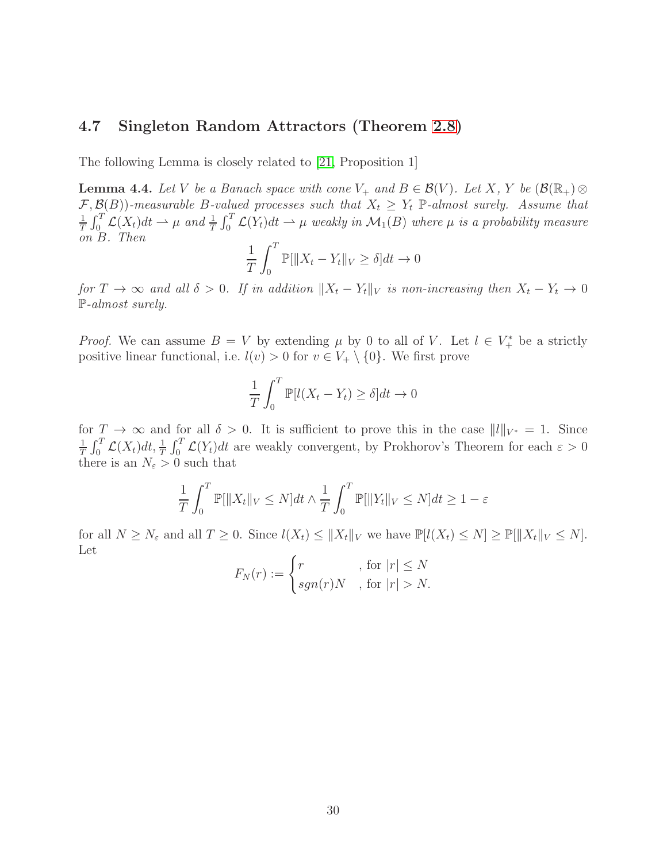### 4.7 Singleton Random Attractors (Theorem [2.8\)](#page-12-0)

The following Lemma is closely related to [\[21,](#page-37-7) Proposition 1]

<span id="page-29-0"></span>**Lemma 4.4.** Let V be a Banach space with cone  $V_+$  and  $B \in \mathcal{B}(V)$ . Let X, Y be  $(\mathcal{B}(\mathbb{R}_+) \otimes$  $\mathcal{F}, \mathcal{B}(B)$ )-measurable B-valued processes such that  $X_t \geq Y_t$  P-almost surely. Assume that  $\frac{1}{t} \int_{t}^{T} \mathcal{C}(X) dt \rightarrow u$  and  $\frac{1}{t} \int_{t}^{T} \mathcal{C}(X) dt \rightarrow u$  angularin  $M_t(B)$  where u is a probability measure  $\frac{1}{T} \int_0^T \mathcal{L}(X_t) dt \rightharpoonup \mu$  and  $\frac{1}{T} \int_0^T \mathcal{L}(Y_t) dt \rightharpoonup \mu$  weakly in  $\mathcal{M}_1(B)$  where  $\mu$  is a probability measure on B. Then

$$
\frac{1}{T} \int_0^T \mathbb{P}[\|X_t - Y_t\|_V \ge \delta] dt \to 0
$$

for  $T \to \infty$  and all  $\delta > 0$ . If in addition  $||X_t - Y_t||_V$  is non-increasing then  $X_t - Y_t \to 0$ P-almost surely.

*Proof.* We can assume  $B = V$  by extending  $\mu$  by 0 to all of V. Let  $l \in V^*$  be a strictly positive linear functional, i.e.  $l(v) > 0$  for  $v \in V_+ \setminus \{0\}$ . We first prove

$$
\frac{1}{T} \int_0^T \mathbb{P}[l(X_t - Y_t) \ge \delta] dt \to 0
$$

for  $T \to \infty$  and for all  $\delta > 0$ . It is sufficient to prove this in the case  $||l||_{V^*} = 1$ . Since 1  $\frac{1}{T} \int_0^T \mathcal{L}(X_t) dt$ ,  $\frac{1}{T} \int_0^T \mathcal{L}(Y_t) dt$  are weakly convergent, by Prokhorov's Theorem for each  $\varepsilon > 0$ there is an  $N_{\varepsilon} > 0$  such that

$$
\frac{1}{T} \int_0^T \mathbb{P}[\|X_t\|_V \le N] dt \wedge \frac{1}{T} \int_0^T \mathbb{P}[\|Y_t\|_V \le N] dt \ge 1 - \varepsilon
$$

for all  $N \ge N_{\varepsilon}$  and all  $T \ge 0$ . Since  $l(X_t) \le ||X_t||_V$  we have  $\mathbb{P}[l(X_t) \le N] \ge \mathbb{P}[||X_t||_V \le N]$ . Let

$$
F_N(r) := \begin{cases} r & , \text{ for } |r| \le N \\ sgn(r)N & , \text{ for } |r| > N. \end{cases}
$$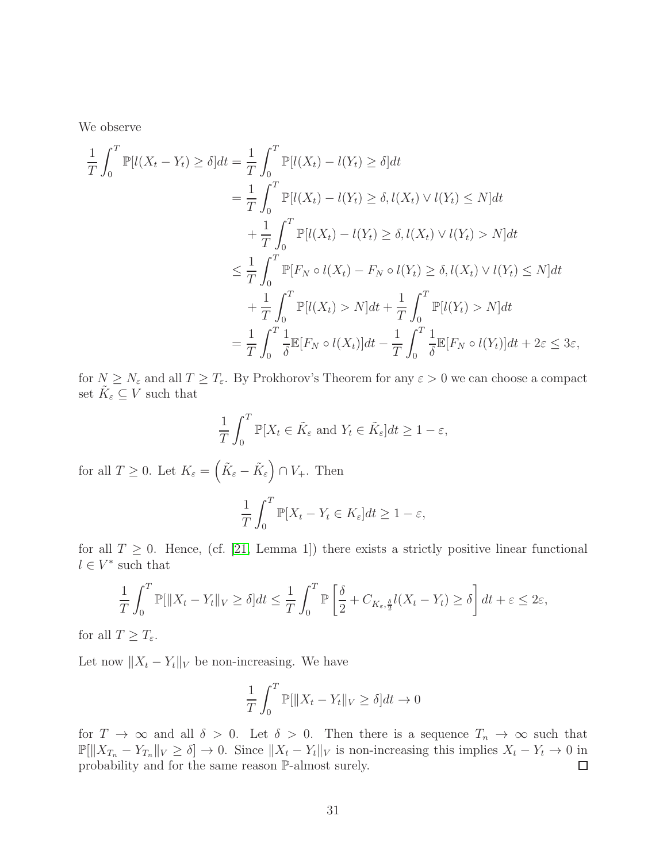We observe

$$
\frac{1}{T} \int_0^T \mathbb{P}[l(X_t - Y_t) \ge \delta] dt = \frac{1}{T} \int_0^T \mathbb{P}[l(X_t) - l(Y_t) \ge \delta] dt
$$
\n
$$
= \frac{1}{T} \int_0^T \mathbb{P}[l(X_t) - l(Y_t) \ge \delta, l(X_t) \vee l(Y_t) \le N] dt
$$
\n
$$
+ \frac{1}{T} \int_0^T \mathbb{P}[l(X_t) - l(Y_t) \ge \delta, l(X_t) \vee l(Y_t) > N] dt
$$
\n
$$
\le \frac{1}{T} \int_0^T \mathbb{P}[F_N \circ l(X_t) - F_N \circ l(Y_t) \ge \delta, l(X_t) \vee l(Y_t) \le N] dt
$$
\n
$$
+ \frac{1}{T} \int_0^T \mathbb{P}[l(X_t) > N] dt + \frac{1}{T} \int_0^T \mathbb{P}[l(Y_t) > N] dt
$$
\n
$$
= \frac{1}{T} \int_0^T \frac{1}{\delta} \mathbb{E}[F_N \circ l(X_t)] dt - \frac{1}{T} \int_0^T \frac{1}{\delta} \mathbb{E}[F_N \circ l(Y_t)] dt + 2\varepsilon \le 3\varepsilon,
$$

for  $N \geq N_{\varepsilon}$  and all  $T \geq T_{\varepsilon}$ . By Prokhorov's Theorem for any  $\varepsilon > 0$  we can choose a compact set  $\tilde{K}_{\varepsilon} \subseteq V$  such that

$$
\frac{1}{T} \int_0^T \mathbb{P}[X_t \in \tilde{K}_{\varepsilon} \text{ and } Y_t \in \tilde{K}_{\varepsilon}] dt \ge 1 - \varepsilon,
$$

for all  $T \geq 0$ . Let  $K_{\varepsilon} = \left( \tilde{K}_{\varepsilon} - \tilde{K}_{\varepsilon} \right) \cap V_{+}$ . Then

$$
\frac{1}{T} \int_0^T \mathbb{P}[X_t - Y_t \in K_{\varepsilon}] dt \ge 1 - \varepsilon,
$$

for all  $T \geq 0$ . Hence, (cf. [\[21,](#page-37-7) Lemma 1]) there exists a strictly positive linear functional  $l \in V^*$  such that

$$
\frac{1}{T} \int_0^T \mathbb{P}[\|X_t - Y_t\|_V \ge \delta] dt \le \frac{1}{T} \int_0^T \mathbb{P}\left[\frac{\delta}{2} + C_{K_\varepsilon, \frac{\delta}{2}} l(X_t - Y_t) \ge \delta\right] dt + \varepsilon \le 2\varepsilon,
$$

for all  $T \geq T_{\varepsilon}$ .

Let now  $||X_t - Y_t||_V$  be non-increasing. We have

$$
\frac{1}{T} \int_0^T \mathbb{P}[\|X_t - Y_t\|_V \ge \delta] dt \to 0
$$

for  $T \to \infty$  and all  $\delta > 0$ . Let  $\delta > 0$ . Then there is a sequence  $T_n \to \infty$  such that  $\mathbb{P}[\|X_{T_n} - Y_{T_n}\|_V \ge \delta] \to 0.$  Since  $\|X_t - Y_t\|_V$  is non-increasing this implies  $X_t - Y_t \to 0$  in probability and for the same reason  $\mathbb{P}\text{-almost surely.}$  □ probability and for the same reason P-almost surely.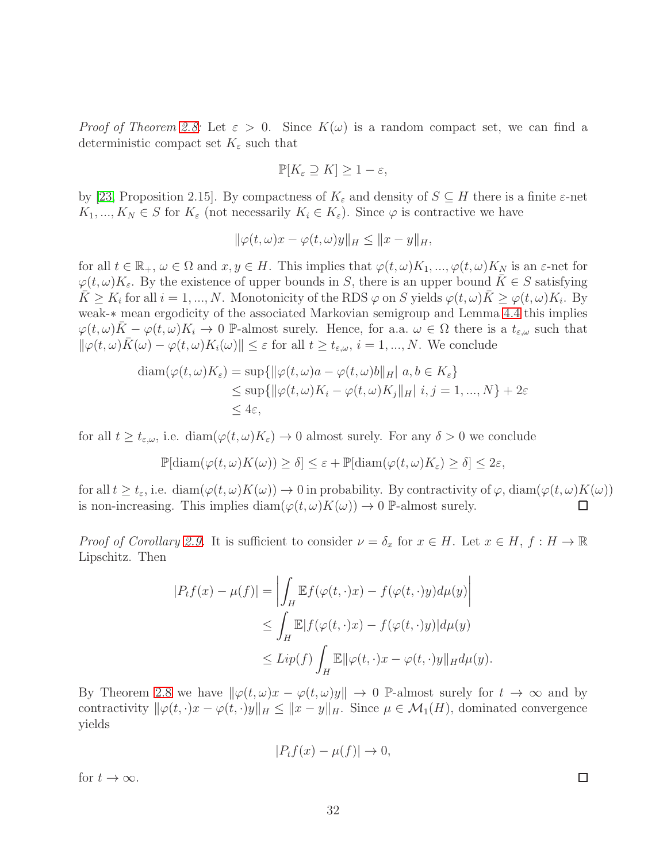Proof of Theorem [2.8:](#page-12-0) Let  $\varepsilon > 0$ . Since  $K(\omega)$  is a random compact set, we can find a deterministic compact set  $K_{\varepsilon}$  such that

$$
\mathbb{P}[K_{\varepsilon} \supseteq K] \geq 1 - \varepsilon,
$$

by [\[23,](#page-37-12) Proposition 2.15]. By compactness of  $K_{\varepsilon}$  and density of  $S \subseteq H$  there is a finite  $\varepsilon$ -net  $K_1, ..., K_N \in S$  for  $K_{\varepsilon}$  (not necessarily  $K_i \in K_{\varepsilon}$ ). Since  $\varphi$  is contractive we have

$$
\|\varphi(t,\omega)x-\varphi(t,\omega)y\|_H\leq\|x-y\|_H,
$$

for all  $t \in \mathbb{R}_+$ ,  $\omega \in \Omega$  and  $x, y \in H$ . This implies that  $\varphi(t,\omega)K_1, ..., \varphi(t,\omega)K_N$  is an  $\varepsilon$ -net for  $\varphi(t,\omega)K_{\varepsilon}$ . By the existence of upper bounds in S, there is an upper bound  $\bar{K}\in S$  satisfying  $\overline{K} \geq K_i$  for all  $i = 1, ..., N$ . Monotonicity of the RDS  $\varphi$  on S yields  $\varphi(t, \omega)\overline{K} \geq \varphi(t, \omega)K_i$ . By weak-∗ mean ergodicity of the associated Markovian semigroup and Lemma [4.4](#page-29-0) this implies  $\varphi(t,\omega)\bar{K}-\varphi(t,\omega)K_i\to 0$  P-almost surely. Hence, for a.a.  $\omega\in\Omega$  there is a  $t_{\varepsilon,\omega}$  such that  $\|\varphi(t,\omega)\bar{K}(\omega)-\varphi(t,\omega)K_i(\omega)\|\leq \varepsilon$  for all  $t\geq t_{\varepsilon,\omega}, i=1,...,N$ . We conclude

$$
\begin{aligned} \operatorname{diam}(\varphi(t,\omega)K_{\varepsilon}) &= \sup\{\|\varphi(t,\omega)a - \varphi(t,\omega)b\|_{H}\|a, b \in K_{\varepsilon}\} \\ &\leq \sup\{\|\varphi(t,\omega)K_{i} - \varphi(t,\omega)K_{j}\|_{H}\|i, j = 1, ..., N\} + 2\varepsilon \\ &\leq 4\varepsilon, \end{aligned}
$$

for all  $t \geq t_{\varepsilon,\omega}$ , i.e.  $\text{diam}(\varphi(t,\omega)K_{\varepsilon}) \to 0$  almost surely. For any  $\delta > 0$  we conclude

$$
\mathbb{P}[\text{diam}(\varphi(t,\omega)K(\omega))\geq \delta]\leq \varepsilon+\mathbb{P}[\text{diam}(\varphi(t,\omega)K_{\varepsilon})\geq \delta]\leq 2\varepsilon,
$$

for all  $t \ge t_{\varepsilon}$ , i.e. diam $(\varphi(t, \omega)K(\omega)) \to 0$  in probability. By contractivity of  $\varphi$ , diam $(\varphi(t, \omega)K(\omega))$ <br>is non-increasing. This implies diam $(\varphi(t, \omega)K(\omega)) \to 0$  P-almost surely. is non-increasing. This implies  $\text{diam}(\varphi(t,\omega)K(\omega)) \to 0$  P-almost surely.

*Proof of Corollary [2.9.](#page-12-1)* It is sufficient to consider  $\nu = \delta_x$  for  $x \in H$ . Let  $x \in H$ ,  $f : H \to \mathbb{R}$ Lipschitz. Then

$$
|P_t f(x) - \mu(f)| = \left| \int_H \mathbb{E} f(\varphi(t, \cdot)x) - f(\varphi(t, \cdot)y) d\mu(y) \right|
$$
  
\n
$$
\leq \int_H \mathbb{E} |f(\varphi(t, \cdot)x) - f(\varphi(t, \cdot)y)| d\mu(y)
$$
  
\n
$$
\leq Lip(f) \int_H \mathbb{E} \|\varphi(t, \cdot)x - \varphi(t, \cdot)y\|_H d\mu(y).
$$

By Theorem [2.8](#page-12-0) we have  $\|\varphi(t,\omega)x - \varphi(t,\omega)y\| \to 0$  P-almost surely for  $t \to \infty$  and by contractivity  $\|\varphi(t, \cdot)x - \varphi(t, \cdot)y\|_{H} \leq \|x - y\|_{H}$ . Since  $\mu \in \mathcal{M}_1(H)$ , dominated convergence yields

$$
|P_t f(x) - \mu(f)| \to 0,
$$

for  $t \to \infty$ .

 $\Box$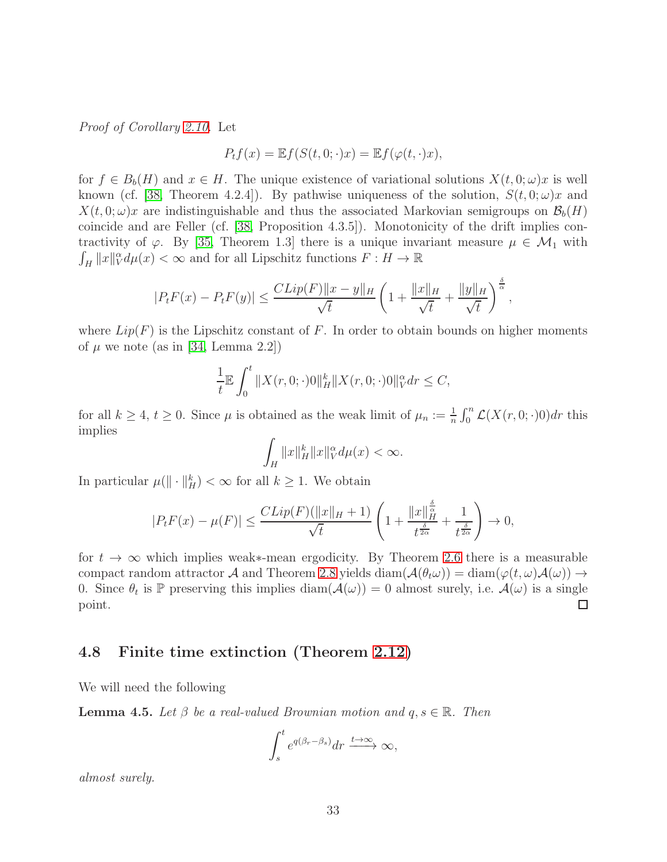Proof of Corollary [2.10.](#page-12-2) Let

$$
P_t f(x) = \mathbb{E} f(S(t, 0; \cdot)x) = \mathbb{E} f(\varphi(t, \cdot)x),
$$

for  $f \in B_b(H)$  and  $x \in H$ . The unique existence of variational solutions  $X(t, 0; \omega)x$  is well known (cf. [\[38,](#page-38-7) Theorem 4.2.4]). By pathwise uniqueness of the solution,  $S(t, 0; \omega)x$  and  $X(t, 0; \omega)x$  are indistinguishable and thus the associated Markovian semigroups on  $\mathcal{B}_b(H)$ coincide and are Feller (cf. [\[38,](#page-38-7) Proposition 4.3.5]). Monotonicity of the drift implies contractivity of  $\varphi$ . By [\[35,](#page-38-8) Theorem 1.3] there is a unique invariant measure  $\mu \in \mathcal{M}_1$  with  $\int_H ||x||_V^\alpha d\mu(x) < \infty$  and for all Lipschitz functions  $F : H \to \mathbb{R}$ 

$$
|P_t F(x) - P_t F(y)| \le \frac{CLip(F) \|x - y\|_H}{\sqrt{t}} \left(1 + \frac{\|x\|_H}{\sqrt{t}} + \frac{\|y\|_H}{\sqrt{t}}\right)^{\frac{\delta}{\alpha}},
$$

where  $Lip(F)$  is the Lipschitz constant of F. In order to obtain bounds on higher moments of  $\mu$  we note (as in [\[34,](#page-37-13) Lemma 2.2])

$$
\frac{1}{t} \mathbb{E} \int_0^t \|X(r, 0; \cdot)0\|_H^k \|X(r, 0; \cdot)0\|_V^\alpha dr \le C,
$$

for all  $k \ge 4$ ,  $t \ge 0$ . Since  $\mu$  is obtained as the weak limit of  $\mu_n := \frac{1}{n} \int_0^n \mathcal{L}(X(r, 0; \cdot)0) dr$  this implies

$$
\int_H \|x\|_H^k \|x\|_V^\alpha d\mu(x) < \infty.
$$

In particular  $\mu(\|\cdot\|_H^k) < \infty$  for all  $k \geq 1$ . We obtain

$$
|P_t F(x) - \mu(F)| \le \frac{CLip(F)(\|x\|_H + 1)}{\sqrt{t}} \left(1 + \frac{\|x\|_H^{\frac{\delta}{\alpha}}}{t^{\frac{\delta}{2\alpha}}} + \frac{1}{t^{\frac{\delta}{2\alpha}}}\right) \to 0,
$$

for  $t \to \infty$  which implies weak∗-mean ergodicity. By Theorem [2.6](#page-11-0) there is a measurable compact random attractor A and Theorem [2.8](#page-12-0) yields diam( $\mathcal{A}(\theta_t\omega)$ ) = diam( $\varphi(t,\omega)\mathcal{A}(\omega)$ )  $\rightarrow$ 0. Since  $\theta_t$  is  $\mathbb P$  preserving this implies  $\text{diam}(\mathcal{A}(\omega)) = 0$  almost surely, i.e.  $\mathcal{A}(\omega)$  is a single point.

#### 4.8 Finite time extinction (Theorem [2.12\)](#page-13-0)

We will need the following

<span id="page-32-0"></span>**Lemma 4.5.** Let  $\beta$  be a real-valued Brownian motion and  $q, s \in \mathbb{R}$ . Then

$$
\int_{s}^{t} e^{q(\beta_r - \beta_s)} dr \xrightarrow{t \to \infty} \infty,
$$

almost surely.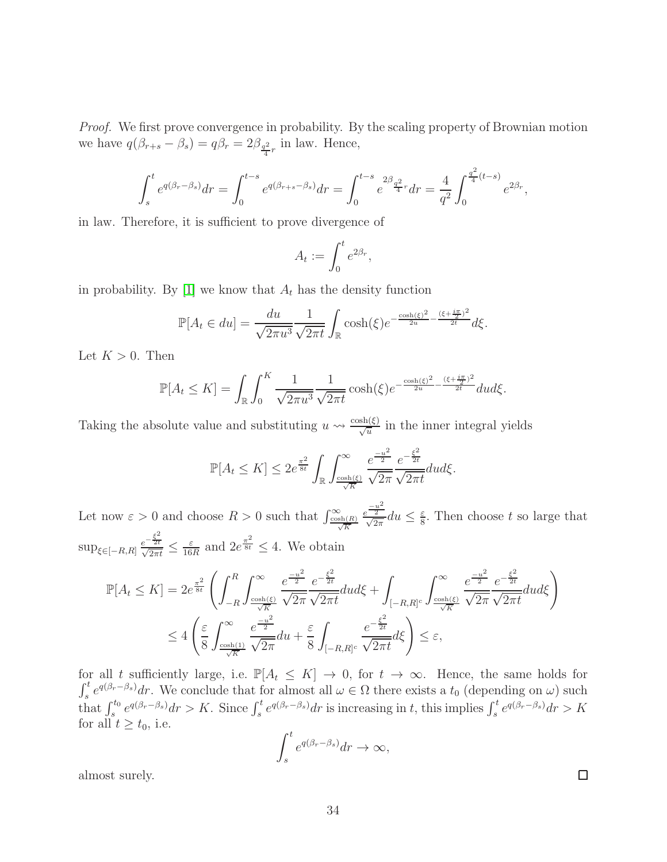Proof. We first prove convergence in probability. By the scaling property of Brownian motion we have  $q(\beta_{r+s} - \beta_s) = q\beta_r = 2\beta_{\frac{q^2}{4}r}$  in law. Hence,

$$
\int_s^t e^{q(\beta_r - \beta_s)} dr = \int_0^{t-s} e^{q(\beta_{r+s} - \beta_s)} dr = \int_0^{t-s} e^{2\beta} \frac{q^2}{4} r dr = \frac{4}{q^2} \int_0^{\frac{q^2}{4}(t-s)} e^{2\beta_r},
$$

in law. Therefore, it is sufficient to prove divergence of

$$
A_t := \int_0^t e^{2\beta_r},
$$

in probability. By [\[1\]](#page-35-7) we know that  $A_t$  has the density function

$$
\mathbb{P}[A_t \in du] = \frac{du}{\sqrt{2\pi u^3}} \frac{1}{\sqrt{2\pi t}} \int_{\mathbb{R}} \cosh(\xi) e^{-\frac{\cosh(\xi)^2}{2u} - \frac{(\xi + \frac{i\pi}{2})^2}{2t}} d\xi.
$$

Let  $K > 0$ . Then

$$
\mathbb{P}[A_t \le K] = \int_{\mathbb{R}} \int_0^K \frac{1}{\sqrt{2\pi u^3}} \frac{1}{\sqrt{2\pi t}} \cosh(\xi) e^{-\frac{\cosh(\xi)^2}{2u} - \frac{(\xi + \frac{i\pi}{2})^2}{2t}} du d\xi.
$$

Taking the absolute value and substituting  $u \leadsto \frac{\cosh(\xi)}{\sqrt{u}}$  in the inner integral yields

$$
\mathbb{P}[A_t \le K] \le 2e^{\frac{\pi^2}{8t}} \int_{\mathbb{R}} \int_{\frac{\cosh(\xi)}{\sqrt{K}}}^{\infty} \frac{e^{\frac{-u^2}{2}}}{\sqrt{2\pi}} \frac{e^{-\frac{\xi^2}{2t}}}{\sqrt{2\pi t}} du d\xi.
$$

Let now  $\varepsilon > 0$  and choose  $R > 0$  such that  $\int_{\frac{\cosh(R)}{\sqrt{K}}}^{\infty}$  $e^{\frac{-u^2}{2}}$  $\frac{1}{\sqrt{2\pi}}du \leq \frac{\varepsilon}{8}$  $\frac{\varepsilon}{8}$ . Then choose t so large that  $\sup_{\xi \in [-R,R]} \frac{e^{-\frac{\xi^2}{2t}}}{\sqrt{2\pi i}}$  $\frac{e^{-\frac{t}{2t}}}{\sqrt{2\pi t}} \leq \frac{\varepsilon}{16}$  $\frac{\varepsilon}{16R}$  and  $2e^{\frac{\pi^2}{8t}} \leq 4$ . We obtain

$$
\mathbb{P}[A_t \le K] = 2e^{\frac{\pi^2}{8t}} \left( \int_{-R}^R \int_{\frac{\cosh(\xi)}{\sqrt{K}}}^{\infty} \frac{e^{\frac{-u^2}{2}}}{\sqrt{2\pi}} \frac{e^{-\frac{\xi^2}{2t}}}{\sqrt{2\pi t}} du d\xi + \int_{[-R,R]^c} \int_{\frac{\cosh(\xi)}{\sqrt{K}}}^{\infty} \frac{e^{\frac{-u^2}{2}}}{\sqrt{2\pi}} \frac{e^{-\frac{\xi^2}{2t}}}{\sqrt{2\pi t}} du d\xi \right)
$$
  

$$
\le 4 \left( \frac{\varepsilon}{8} \int_{\frac{\cosh(1)}{\sqrt{K}}}^{\infty} \frac{e^{\frac{-u^2}{2}}}{\sqrt{2\pi}} du + \frac{\varepsilon}{8} \int_{[-R,R]^c} \frac{e^{-\frac{\xi^2}{2t}}}{\sqrt{2\pi t}} d\xi \right) \le \varepsilon,
$$

for all t sufficiently large, i.e.  $\mathbb{P}[A_t \leq K] \to 0$ , for  $t \to \infty$ . Hence, the same holds for  $\int_s^t e^{q(\beta_r-\beta_s)}dr$ . We conclude that for almost all  $\omega \in \Omega$  there exists a  $t_0$  (depending on  $\omega$ ) such that  $\int_s^{t_0} e^{q(\beta_r-\beta_s)}dr > K$ . Since  $\int_s^t e^{q(\beta_r-\beta_s)}dr$  is increasing in t, this implies  $\int_s^t e^{q(\beta_r-\beta_s)}dr > K$ for all  $t \geq t_0$ , i.e.

$$
\int_s^t e^{q(\beta_r - \beta_s)} dr \to \infty,
$$

almost surely.

 $\Box$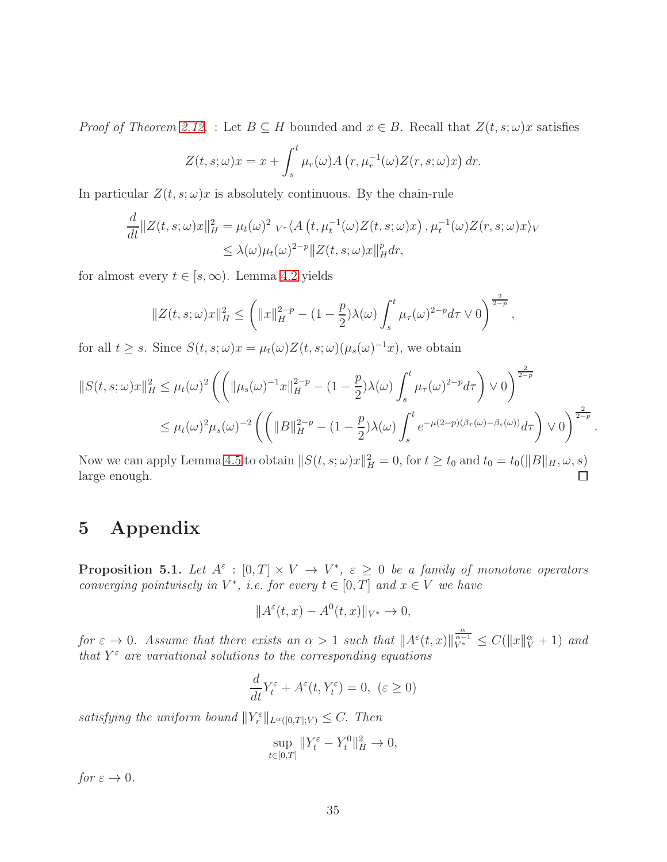*Proof of Theorem [2.12.](#page-13-0)* : Let  $B \subseteq H$  bounded and  $x \in B$ . Recall that  $Z(t, s; \omega)x$  satisfies

$$
Z(t, s; \omega)x = x + \int_s^t \mu_r(\omega) A(r, \mu_r^{-1}(\omega) Z(r, s; \omega)x) dr.
$$

In particular  $Z(t, s; \omega)x$  is absolutely continuous. By the chain-rule

$$
\frac{d}{dt} ||Z(t,s;\omega)x||_H^2 = \mu_t(\omega)^2 \ v_* \langle A(t,\mu_t^{-1}(\omega)Z(t,s;\omega)x), \mu_t^{-1}(\omega)Z(r,s;\omega)x \rangle_V
$$
  

$$
\leq \lambda(\omega)\mu_t(\omega)^{2-p} ||Z(t,s;\omega)x||_H^p dr,
$$

for almost every  $t \in [s, \infty)$ . Lemma [4.2](#page-24-3) yields

$$
||Z(t,s;\omega)x||_H^2 \leq \left(||x||_H^{2-p} - (1-\frac{p}{2})\lambda(\omega) \int_s^t \mu_\tau(\omega)^{2-p} d\tau \vee 0\right)^{\frac{2}{2-p}},
$$

for all  $t \geq s$ . Since  $S(t, s; \omega)x = \mu_t(\omega)Z(t, s; \omega)(\mu_s(\omega)^{-1}x)$ , we obtain

$$
||S(t,s;\omega)x||_H^2 \leq \mu_t(\omega)^2 \left( \left( ||\mu_s(\omega)^{-1}x||_H^{2-p} - (1 - \frac{p}{2})\lambda(\omega) \int_s^t \mu_\tau(\omega)^{2-p} d\tau \right) \vee 0 \right)^{\frac{2}{2-p}} \leq \mu_t(\omega)^2 \mu_s(\omega)^{-2} \left( \left( ||B||_H^{2-p} - (1 - \frac{p}{2})\lambda(\omega) \int_s^t e^{-\mu(2-p)(\beta_\tau(\omega) - \beta_s(\omega))} d\tau \right) \vee 0 \right)^{\frac{2}{2-p}}
$$

.

Now we can apply Lemma [4.5](#page-32-0) to obtain  $||S(t, s; \omega)x||_H^2 = 0$ , for  $t \ge t_0$  and  $t_0 = t_0(||B||_H, \omega, s)$ large enough.

# 5 Appendix

<span id="page-34-0"></span>**Proposition 5.1.** Let  $A^{\varepsilon}$  :  $[0,T] \times V \to V^*$ ,  $\varepsilon \geq 0$  be a family of monotone operators converging pointwisely in  $V^*$ , i.e. for every  $t \in [0, T]$  and  $x \in V$  we have

$$
||A^{\varepsilon}(t,x) - A^0(t,x)||_{V^*} \to 0,
$$

for  $\varepsilon \to 0$ . Assume that there exists an  $\alpha > 1$  such that  $||A^{\varepsilon}(t,x)||_{V^*}^{\frac{\alpha}{\alpha-1}} \leq C(||x||_V^{\alpha} + 1)$  and that  $Y^{\varepsilon}$  are variational solutions to the corresponding equations

$$
\frac{d}{dt}Y_t^{\varepsilon} + A^{\varepsilon}(t, Y_t^{\varepsilon}) = 0, \ (\varepsilon \ge 0)
$$

satisfying the uniform bound  $||Y_r^{\varepsilon}||_{L^{\alpha}([0,T];V)} \leq C$ . Then

$$
\sup_{t \in [0,T]} \|Y_t^{\varepsilon} - Y_t^0\|_H^2 \to 0,
$$

for  $\varepsilon \to 0$ .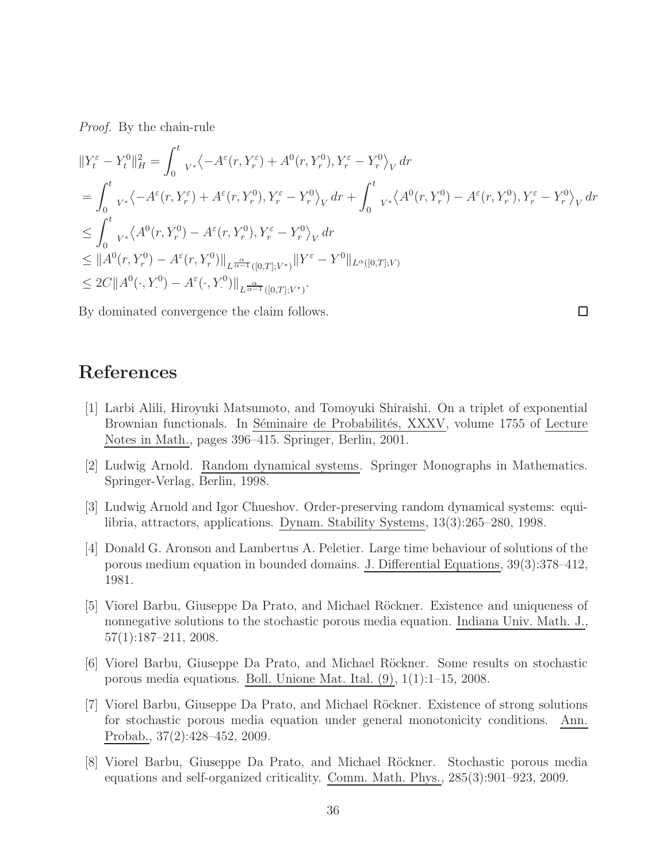Proof. By the chain-rule

$$
\begin{split}\n\|Y_t^{\varepsilon} - Y_t^0\|_H^2 &= \int_0^t {}_{V^*} \langle -A^{\varepsilon}(r, Y_r^{\varepsilon}) + A^0(r, Y_r^0), Y_r^{\varepsilon} - Y_r^0 \rangle_V dr \\
&= \int_0^t {}_{V^*} \langle -A^{\varepsilon}(r, Y_r^{\varepsilon}) + A^{\varepsilon}(r, Y_r^0), Y_r^{\varepsilon} - Y_r^0 \rangle_V dr + \int_0^t {}_{V^*} \langle A^0(r, Y_r^0) - A^{\varepsilon}(r, Y_r^0), Y_r^{\varepsilon} - Y_r^0 \rangle_V dr \\
&\leq \int_0^t {}_{V^*} \langle A^0(r, Y_r^0) - A^{\varepsilon}(r, Y_r^0), Y_r^{\varepsilon} - Y_r^0 \rangle_V dr \\
&\leq \|A^0(r, Y_r^0) - A^{\varepsilon}(r, Y_r^0)\|_{L^{\frac{\alpha}{\alpha-1}}([0,T]; V^*)} \|Y^{\varepsilon} - Y^0\|_{L^{\alpha}([0,T]; V)} \\
&\leq 2C \|A^0(\cdot, Y_r^0) - A^{\varepsilon}(\cdot, Y_r^0)\|_{L^{\frac{\alpha}{\alpha-1}}([0,T]; V^*)}.\n\end{split}
$$

 $\Box$ 

By dominated convergence the claim follows.

# <span id="page-35-7"></span>References

- [1] Larbi Alili, Hiroyuki Matsumoto, and Tomoyuki Shiraishi. On a triplet of exponential Brownian functionals. In Séminaire de Probabilités, XXXV, volume 1755 of Lecture Notes in Math., pages 396–415. Springer, Berlin, 2001.
- <span id="page-35-6"></span><span id="page-35-5"></span>[2] Ludwig Arnold. Random dynamical systems. Springer Monographs in Mathematics. Springer-Verlag, Berlin, 1998.
- [3] Ludwig Arnold and Igor Chueshov. Order-preserving random dynamical systems: equilibria, attractors, applications. Dynam. Stability Systems, 13(3):265–280, 1998.
- <span id="page-35-0"></span>[4] Donald G. Aronson and Lambertus A. Peletier. Large time behaviour of solutions of the porous medium equation in bounded domains. J. Differential Equations, 39(3):378–412, 1981.
- <span id="page-35-2"></span>[5] Viorel Barbu, Giuseppe Da Prato, and Michael Röckner. Existence and uniqueness of nonnegative solutions to the stochastic porous media equation. Indiana Univ. Math. J., 57(1):187–211, 2008.
- <span id="page-35-3"></span>[6] Viorel Barbu, Giuseppe Da Prato, and Michael R¨ockner. Some results on stochastic porous media equations. Boll. Unione Mat. Ital. (9), 1(1):1–15, 2008.
- <span id="page-35-4"></span>[7] Viorel Barbu, Giuseppe Da Prato, and Michael Röckner. Existence of strong solutions for stochastic porous media equation under general monotonicity conditions. Ann. Probab., 37(2):428–452, 2009.
- <span id="page-35-1"></span>[8] Viorel Barbu, Giuseppe Da Prato, and Michael R¨ockner. Stochastic porous media equations and self-organized criticality. Comm. Math. Phys., 285(3):901–923, 2009.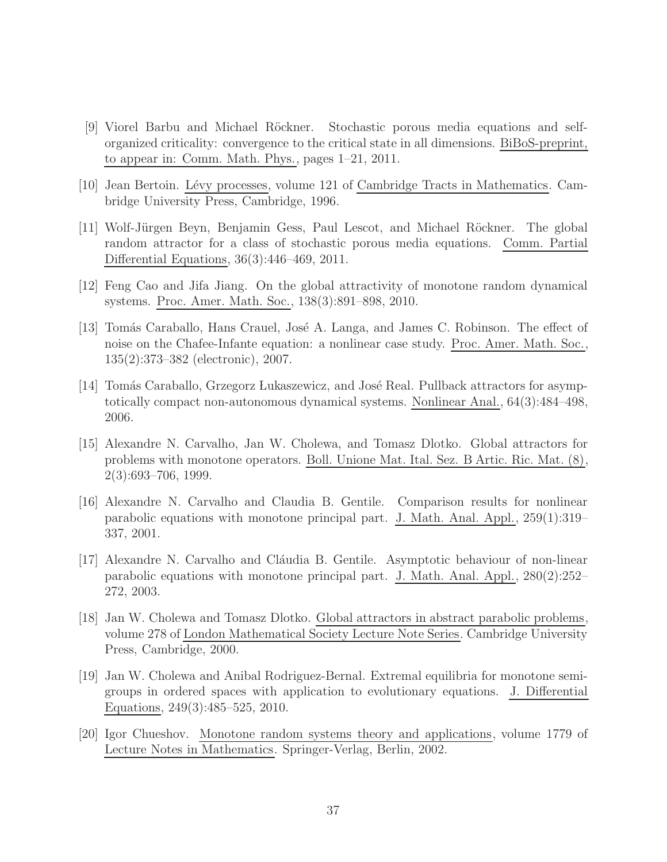- <span id="page-36-6"></span>[9] Viorel Barbu and Michael Röckner. Stochastic porous media equations and selforganized criticality: convergence to the critical state in all dimensions. BiBoS-preprint, to appear in: Comm. Math. Phys., pages 1–21, 2011.
- <span id="page-36-10"></span><span id="page-36-5"></span>[10] Jean Bertoin. L´evy processes, volume 121 of Cambridge Tracts in Mathematics. Cambridge University Press, Cambridge, 1996.
- [11] Wolf-Jürgen Beyn, Benjamin Gess, Paul Lescot, and Michael Röckner. The global random attractor for a class of stochastic porous media equations. Comm. Partial Differential Equations, 36(3):446–469, 2011.
- <span id="page-36-9"></span><span id="page-36-7"></span>[12] Feng Cao and Jifa Jiang. On the global attractivity of monotone random dynamical systems. Proc. Amer. Math. Soc., 138(3):891–898, 2010.
- [13] Tomás Caraballo, Hans Crauel, José A. Langa, and James C. Robinson. The effect of noise on the Chafee-Infante equation: a nonlinear case study. Proc. Amer. Math. Soc., 135(2):373–382 (electronic), 2007.
- <span id="page-36-11"></span>[14] Tomás Caraballo, Grzegorz Lukaszewicz, and José Real. Pullback attractors for asymptotically compact non-autonomous dynamical systems. Nonlinear Anal., 64(3):484–498, 2006.
- <span id="page-36-0"></span>[15] Alexandre N. Carvalho, Jan W. Cholewa, and Tomasz Dlotko. Global attractors for problems with monotone operators. Boll. Unione Mat. Ital. Sez. B Artic. Ric. Mat. (8), 2(3):693–706, 1999.
- <span id="page-36-1"></span>[16] Alexandre N. Carvalho and Claudia B. Gentile. Comparison results for nonlinear parabolic equations with monotone principal part. J. Math. Anal. Appl., 259(1):319– 337, 2001.
- <span id="page-36-2"></span>[17] Alexandre N. Carvalho and Cláudia B. Gentile. Asymptotic behaviour of non-linear parabolic equations with monotone principal part. J. Math. Anal. Appl., 280(2):252– 272, 2003.
- <span id="page-36-3"></span>[18] Jan W. Cholewa and Tomasz Dlotko. Global attractors in abstract parabolic problems, volume 278 of London Mathematical Society Lecture Note Series. Cambridge University Press, Cambridge, 2000.
- <span id="page-36-4"></span>[19] Jan W. Cholewa and Anibal Rodriguez-Bernal. Extremal equilibria for monotone semigroups in ordered spaces with application to evolutionary equations. J. Differential Equations, 249(3):485–525, 2010.
- <span id="page-36-8"></span>[20] Igor Chueshov. Monotone random systems theory and applications, volume 1779 of Lecture Notes in Mathematics. Springer-Verlag, Berlin, 2002.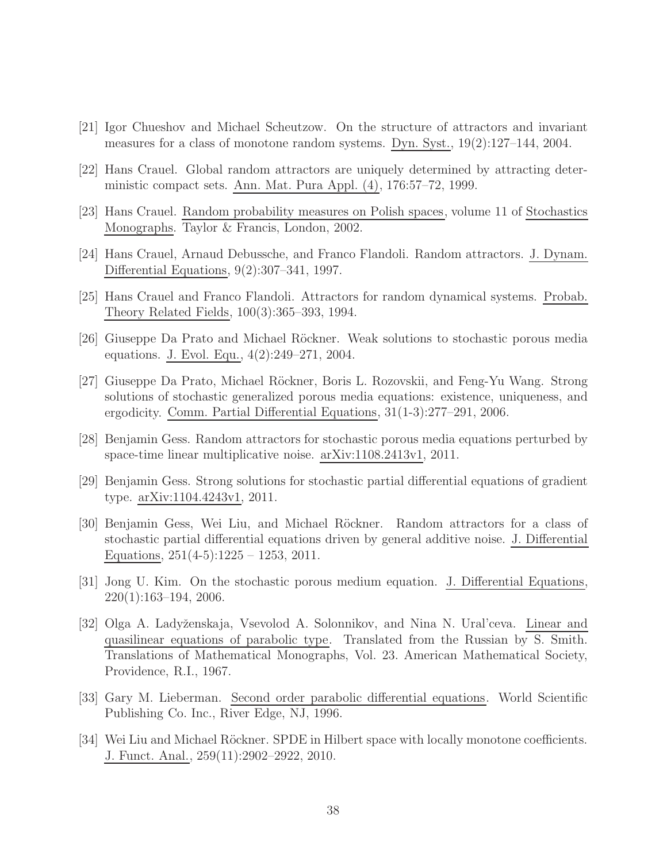- <span id="page-37-8"></span><span id="page-37-7"></span>[21] Igor Chueshov and Michael Scheutzow. On the structure of attractors and invariant measures for a class of monotone random systems. Dyn. Syst., 19(2):127–144, 2004.
- <span id="page-37-12"></span>[22] Hans Crauel. Global random attractors are uniquely determined by attracting deterministic compact sets. Ann. Mat. Pura Appl. (4), 176:57–72, 1999.
- <span id="page-37-0"></span>[23] Hans Crauel. Random probability measures on Polish spaces, volume 11 of Stochastics Monographs. Taylor & Francis, London, 2002.
- <span id="page-37-1"></span>[24] Hans Crauel, Arnaud Debussche, and Franco Flandoli. Random attractors. J. Dynam. Differential Equations, 9(2):307–341, 1997.
- <span id="page-37-3"></span>[25] Hans Crauel and Franco Flandoli. Attractors for random dynamical systems. Probab. Theory Related Fields, 100(3):365–393, 1994.
- <span id="page-37-4"></span>[26] Giuseppe Da Prato and Michael Röckner. Weak solutions to stochastic porous media equations. J. Evol. Equ., 4(2):249–271, 2004.
- [27] Giuseppe Da Prato, Michael R¨ockner, Boris L. Rozovskii, and Feng-Yu Wang. Strong solutions of stochastic generalized porous media equations: existence, uniqueness, and ergodicity. Comm. Partial Differential Equations, 31(1-3):277–291, 2006.
- <span id="page-37-9"></span><span id="page-37-5"></span>[28] Benjamin Gess. Random attractors for stochastic porous media equations perturbed by space-time linear multiplicative noise. arXiv:1108.2413v1, 2011.
- [29] Benjamin Gess. Strong solutions for stochastic partial differential equations of gradient type. arXiv:1104.4243v1, 2011.
- <span id="page-37-2"></span>[30] Benjamin Gess, Wei Liu, and Michael R¨ockner. Random attractors for a class of stochastic partial differential equations driven by general additive noise. J. Differential Equations,  $251(4-5):1225 - 1253$ ,  $2011$ .
- <span id="page-37-6"></span>[31] Jong U. Kim. On the stochastic porous medium equation. J. Differential Equations, 220(1):163–194, 2006.
- <span id="page-37-10"></span>[32] Olga A. Ladyˇzenskaja, Vsevolod A. Solonnikov, and Nina N. Ural'ceva. Linear and quasilinear equations of parabolic type. Translated from the Russian by S. Smith. Translations of Mathematical Monographs, Vol. 23. American Mathematical Society, Providence, R.I., 1967.
- <span id="page-37-13"></span><span id="page-37-11"></span>[33] Gary M. Lieberman. Second order parabolic differential equations. World Scientific Publishing Co. Inc., River Edge, NJ, 1996.
- [34] Wei Liu and Michael Röckner. SPDE in Hilbert space with locally monotone coefficients. J. Funct. Anal., 259(11):2902–2922, 2010.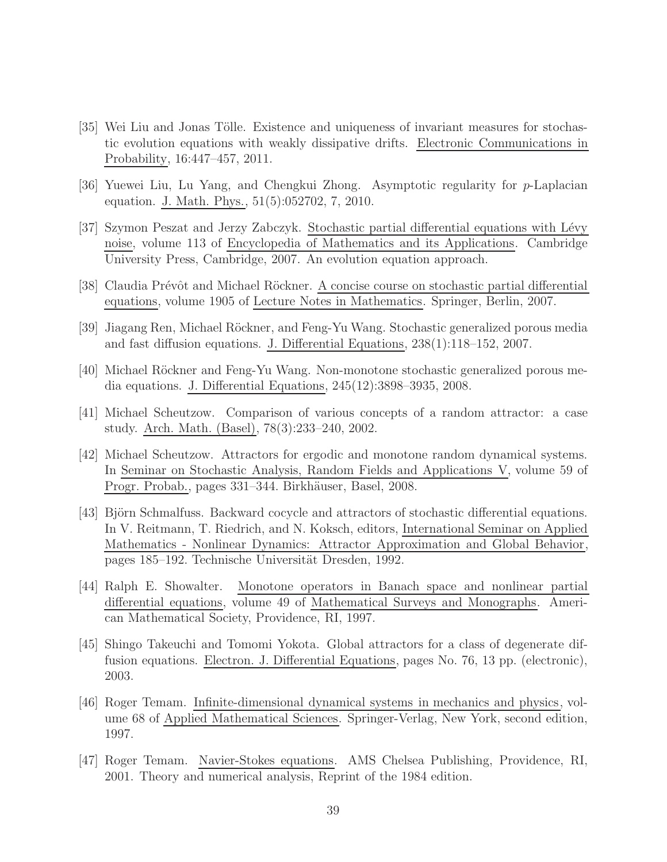- <span id="page-38-8"></span>[35] Wei Liu and Jonas Tölle. Existence and uniqueness of invariant measures for stochastic evolution equations with weakly dissipative drifts. Electronic Communications in Probability, 16:447–457, 2011.
- <span id="page-38-9"></span><span id="page-38-1"></span>[36] Yuewei Liu, Lu Yang, and Chengkui Zhong. Asymptotic regularity for p-Laplacian equation. J. Math. Phys., 51(5):052702, 7, 2010.
- [37] Szymon Peszat and Jerzy Zabczyk. Stochastic partial differential equations with L´evy noise, volume 113 of Encyclopedia of Mathematics and its Applications. Cambridge University Press, Cambridge, 2007. An evolution equation approach.
- <span id="page-38-7"></span><span id="page-38-3"></span>[38] Claudia Prévôt and Michael Röckner. A concise course on stochastic partial differential equations, volume 1905 of Lecture Notes in Mathematics. Springer, Berlin, 2007.
- <span id="page-38-4"></span>[39] Jiagang Ren, Michael Röckner, and Feng-Yu Wang. Stochastic generalized porous media and fast diffusion equations. J. Differential Equations, 238(1):118–152, 2007.
- <span id="page-38-6"></span>[40] Michael R¨ockner and Feng-Yu Wang. Non-monotone stochastic generalized porous media equations. J. Differential Equations, 245(12):3898–3935, 2008.
- [41] Michael Scheutzow. Comparison of various concepts of a random attractor: a case study. Arch. Math. (Basel), 78(3):233–240, 2002.
- <span id="page-38-5"></span>[42] Michael Scheutzow. Attractors for ergodic and monotone random dynamical systems. In Seminar on Stochastic Analysis, Random Fields and Applications V, volume 59 of Progr. Probab., pages 331–344. Birkhäuser, Basel, 2008.
- <span id="page-38-0"></span>[43] Björn Schmalfuss. Backward cocycle and attractors of stochastic differential equations. In V. Reitmann, T. Riedrich, and N. Koksch, editors, International Seminar on Applied Mathematics - Nonlinear Dynamics: Attractor Approximation and Global Behavior, pages 185–192. Technische Universität Dresden, 1992.
- <span id="page-38-10"></span>[44] Ralph E. Showalter. Monotone operators in Banach space and nonlinear partial differential equations, volume 49 of Mathematical Surveys and Monographs. American Mathematical Society, Providence, RI, 1997.
- <span id="page-38-2"></span>[45] Shingo Takeuchi and Tomomi Yokota. Global attractors for a class of degenerate diffusion equations. Electron. J. Differential Equations, pages No. 76, 13 pp. (electronic), 2003.
- <span id="page-38-12"></span>[46] Roger Temam. Infinite-dimensional dynamical systems in mechanics and physics, volume 68 of Applied Mathematical Sciences. Springer-Verlag, New York, second edition, 1997.
- <span id="page-38-11"></span>[47] Roger Temam. Navier-Stokes equations. AMS Chelsea Publishing, Providence, RI, 2001. Theory and numerical analysis, Reprint of the 1984 edition.